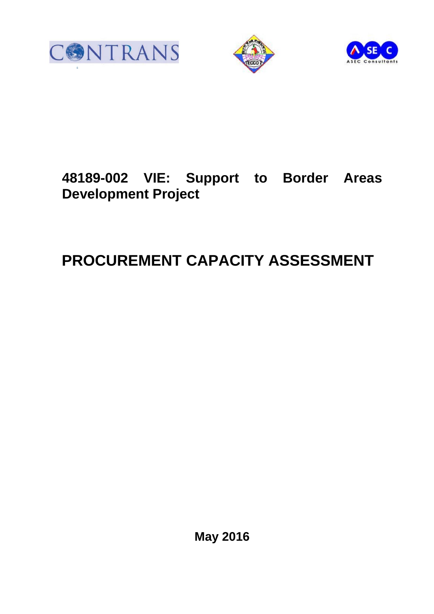





# **48189-002 VIE: Support to Border Areas Development Project**

# **PROCUREMENT CAPACITY ASSESSMENT**

**May 2016**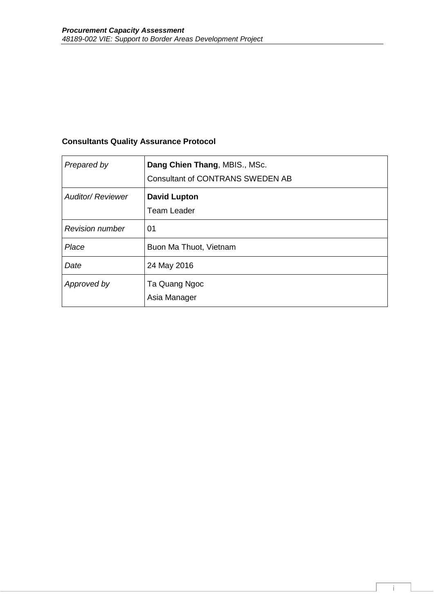# **Consultants Quality Assurance Protocol**

| Prepared by              | Dang Chien Thang, MBIS., MSc.<br><b>Consultant of CONTRANS SWEDEN AB</b> |
|--------------------------|--------------------------------------------------------------------------|
| <b>Auditor/ Reviewer</b> | <b>David Lupton</b><br><b>Team Leader</b>                                |
| <b>Revision number</b>   | 01                                                                       |
| Place                    | Buon Ma Thuot, Vietnam                                                   |
| Date                     | 24 May 2016                                                              |
| Approved by              | Ta Quang Ngoc<br>Asia Manager                                            |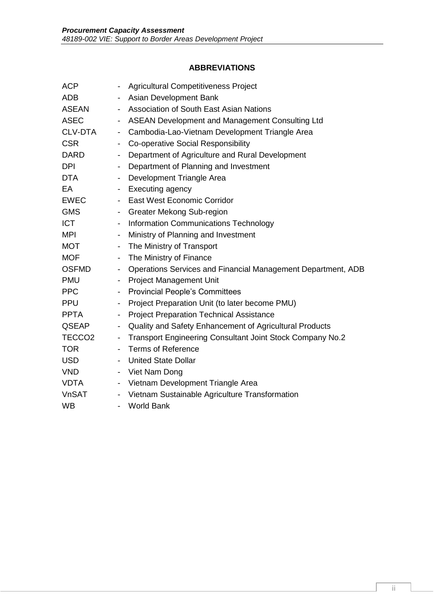# **ABBREVIATIONS**

| <b>ACP</b>         | $\blacksquare$           | <b>Agricultural Competitiveness Project</b>                  |
|--------------------|--------------------------|--------------------------------------------------------------|
| <b>ADB</b>         | $\overline{\phantom{a}}$ | Asian Development Bank                                       |
| <b>ASEAN</b>       | $\overline{\phantom{a}}$ | <b>Association of South East Asian Nations</b>               |
| <b>ASEC</b>        | $\overline{\phantom{a}}$ | ASEAN Development and Management Consulting Ltd              |
| CLV-DTA            | $\overline{\phantom{a}}$ | Cambodia-Lao-Vietnam Development Triangle Area               |
| <b>CSR</b>         | $\overline{\phantom{a}}$ | Co-operative Social Responsibility                           |
| <b>DARD</b>        | $\overline{\phantom{a}}$ | Department of Agriculture and Rural Development              |
| <b>DPI</b>         |                          | - Department of Planning and Investment                      |
| <b>DTA</b>         | $\overline{\phantom{a}}$ | Development Triangle Area                                    |
| EA                 |                          | - Executing agency                                           |
| EWEC               |                          | - East West Economic Corridor                                |
| <b>GMS</b>         |                          | - Greater Mekong Sub-region                                  |
| <b>ICT</b>         |                          | - Information Communications Technology                      |
| MPI                | $\overline{\phantom{a}}$ | Ministry of Planning and Investment                          |
| <b>MOT</b>         |                          | - The Ministry of Transport                                  |
| <b>MOF</b>         | $\overline{\phantom{a}}$ | The Ministry of Finance                                      |
| <b>OSFMD</b>       | $\blacksquare$           | Operations Services and Financial Management Department, ADB |
| <b>PMU</b>         |                          | - Project Management Unit                                    |
| <b>PPC</b>         |                          | - Provincial People's Committees                             |
| <b>PPU</b>         | $\blacksquare$           | Project Preparation Unit (to later become PMU)               |
| <b>PPTA</b>        | $\overline{\phantom{a}}$ | <b>Project Preparation Technical Assistance</b>              |
| QSEAP              | $\overline{\phantom{a}}$ | Quality and Safety Enhancement of Agricultural Products      |
| TECCO <sub>2</sub> | $\overline{\phantom{a}}$ | Transport Engineering Consultant Joint Stock Company No.2    |
| <b>TOR</b>         | $\overline{\phantom{0}}$ | Terms of Reference                                           |
| USD                |                          | - United State Dollar                                        |
| <b>VND</b>         |                          | - Viet Nam Dong                                              |
| <b>VDTA</b>        |                          | - Vietnam Development Triangle Area                          |
| <b>VnSAT</b>       | $\overline{\phantom{a}}$ | Vietnam Sustainable Agriculture Transformation               |
| <b>WB</b>          |                          | <b>World Bank</b>                                            |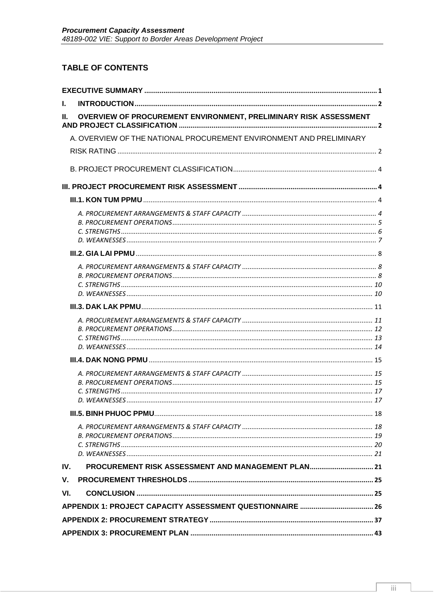# **TABLE OF CONTENTS**

| L.  |                                                                     |  |
|-----|---------------------------------------------------------------------|--|
| Ш.  | OVERVIEW OF PROCUREMENT ENVIRONMENT, PRELIMINARY RISK ASSESSMENT    |  |
|     | A. OVERVIEW OF THE NATIONAL PROCUREMENT ENVIRONMENT AND PRELIMINARY |  |
|     |                                                                     |  |
|     |                                                                     |  |
|     |                                                                     |  |
|     |                                                                     |  |
|     |                                                                     |  |
|     |                                                                     |  |
|     |                                                                     |  |
|     |                                                                     |  |
|     |                                                                     |  |
|     |                                                                     |  |
|     |                                                                     |  |
|     |                                                                     |  |
|     |                                                                     |  |
| IV. | PROCUREMENT RISK ASSESSMENT AND MANAGEMENT PLAN 21                  |  |
| V.  |                                                                     |  |
| VI. |                                                                     |  |
|     |                                                                     |  |
|     |                                                                     |  |
|     |                                                                     |  |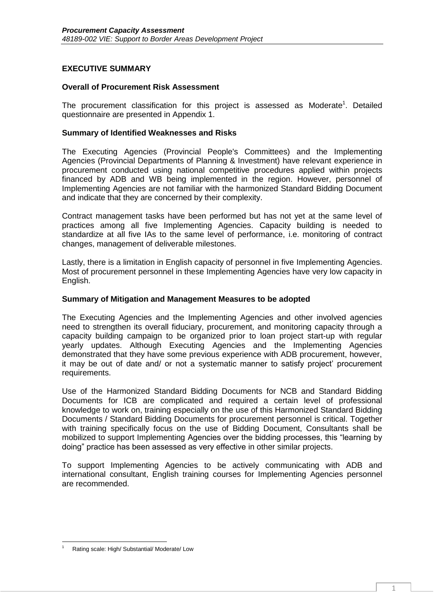## <span id="page-4-0"></span>**EXECUTIVE SUMMARY**

#### **Overall of Procurement Risk Assessment**

The procurement classification for this project is assessed as Moderate<sup>1</sup>. Detailed questionnaire are presented in Appendix 1.

#### **Summary of Identified Weaknesses and Risks**

The Executing Agencies (Provincial People's Committees) and the Implementing Agencies (Provincial Departments of Planning & Investment) have relevant experience in procurement conducted using national competitive procedures applied within projects financed by ADB and WB being implemented in the region. However, personnel of Implementing Agencies are not familiar with the harmonized Standard Bidding Document and indicate that they are concerned by their complexity.

Contract management tasks have been performed but has not yet at the same level of practices among all five Implementing Agencies. Capacity building is needed to standardize at all five IAs to the same level of performance, i.e. monitoring of contract changes, management of deliverable milestones.

Lastly, there is a limitation in English capacity of personnel in five Implementing Agencies. Most of procurement personnel in these Implementing Agencies have very low capacity in English.

#### **Summary of Mitigation and Management Measures to be adopted**

The Executing Agencies and the Implementing Agencies and other involved agencies need to strengthen its overall fiduciary, procurement, and monitoring capacity through a capacity building campaign to be organized prior to loan project start-up with regular yearly updates. Although Executing Agencies and the Implementing Agencies demonstrated that they have some previous experience with ADB procurement, however, it may be out of date and/ or not a systematic manner to satisfy project' procurement requirements.

Use of the Harmonized Standard Bidding Documents for NCB and Standard Bidding Documents for ICB are complicated and required a certain level of professional knowledge to work on, training especially on the use of this Harmonized Standard Bidding Documents / Standard Bidding Documents for procurement personnel is critical. Together with training specifically focus on the use of Bidding Document, Consultants shall be mobilized to support Implementing Agencies over the bidding processes, this "learning by doing" practice has been assessed as very effective in other similar projects.

To support Implementing Agencies to be actively communicating with ADB and international consultant, English training courses for Implementing Agencies personnel are recommended.

**<sup>.</sup>** Rating scale: High/ Substantial/ Moderate/ Low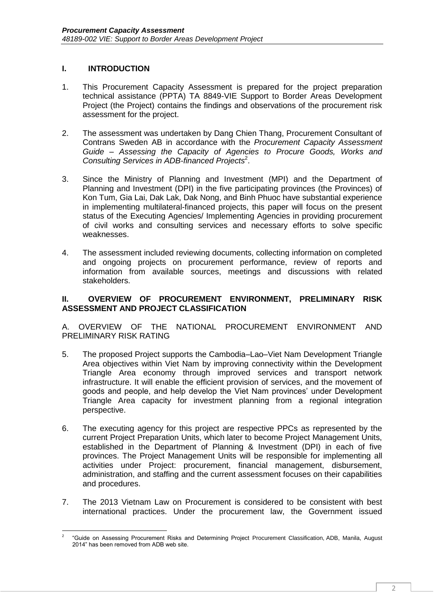## <span id="page-5-0"></span>**I. INTRODUCTION**

- 1. This Procurement Capacity Assessment is prepared for the project preparation technical assistance (PPTA) TA 8849-VIE Support to Border Areas Development Project (the Project) contains the findings and observations of the procurement risk assessment for the project.
- 2. The assessment was undertaken by Dang Chien Thang, Procurement Consultant of Contrans Sweden AB in accordance with the *Procurement Capacity Assessment Guide – Assessing the Capacity of Agencies to Procure Goods, Works and Consulting Services in ADB-financed Projects*<sup>2</sup> .
- 3. Since the Ministry of Planning and Investment (MPI) and the Department of Planning and Investment (DPI) in the five participating provinces (the Provinces) of Kon Tum, Gia Lai, Dak Lak, Dak Nong, and Binh Phuoc have substantial experience in implementing multilateral-financed projects, this paper will focus on the present status of the Executing Agencies/ Implementing Agencies in providing procurement of civil works and consulting services and necessary efforts to solve specific weaknesses.
- 4. The assessment included reviewing documents, collecting information on completed and ongoing projects on procurement performance, review of reports and information from available sources, meetings and discussions with related stakeholders.

### <span id="page-5-1"></span>**II. OVERVIEW OF PROCUREMENT ENVIRONMENT, PRELIMINARY RISK ASSESSMENT AND PROJECT CLASSIFICATION**

<span id="page-5-2"></span>A. OVERVIEW OF THE NATIONAL PROCUREMENT ENVIRONMENT AND PRELIMINARY RISK RATING

- 5. The proposed Project supports the Cambodia–Lao–Viet Nam Development Triangle Area objectives within Viet Nam by improving connectivity within the Development Triangle Area economy through improved services and transport network infrastructure. It will enable the efficient provision of services, and the movement of goods and people, and help develop the Viet Nam provinces' under Development Triangle Area capacity for investment planning from a regional integration perspective.
- 6. The executing agency for this project are respective PPCs as represented by the current Project Preparation Units, which later to become Project Management Units, established in the Department of Planning & Investment (DPI) in each of five provinces. The Project Management Units will be responsible for implementing all activities under Project: procurement, financial management, disbursement, administration, and staffing and the current assessment focuses on their capabilities and procedures.
- 7. The 2013 Vietnam Law on Procurement is considered to be consistent with best international practices. Under the procurement law, the Government issued

**<sup>.</sup>** 2 "Guide on Assessing Procurement Risks and Determining Project Procurement Classification, ADB, Manila, August 2014" has been removed from ADB web site.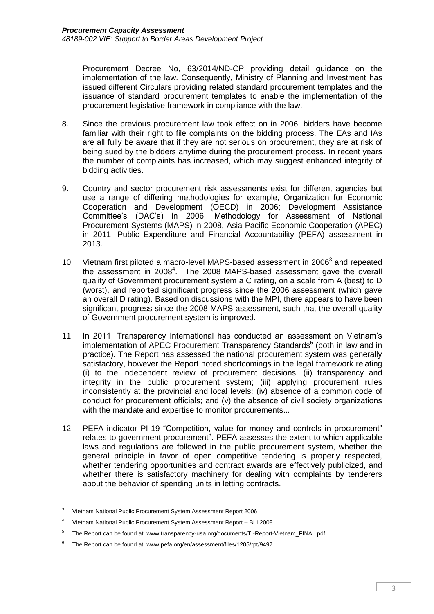Procurement Decree No, 63/2014/ND-CP providing detail guidance on the implementation of the law. Consequently, Ministry of Planning and Investment has issued different Circulars providing related standard procurement templates and the issuance of standard procurement templates to enable the implementation of the procurement legislative framework in compliance with the law.

- 8. Since the previous procurement law took effect on in 2006, bidders have become familiar with their right to file complaints on the bidding process. The EAs and IAs are all fully be aware that if they are not serious on procurement, they are at risk of being sued by the bidders anytime during the procurement process. In recent years the number of complaints has increased, which may suggest enhanced integrity of bidding activities.
- 9. Country and sector procurement risk assessments exist for different agencies but use a range of differing methodologies for example, Organization for Economic Cooperation and Development (OECD) in 2006; Development Assistance Committee's (DAC's) in 2006; Methodology for Assessment of National Procurement Systems (MAPS) in 2008, Asia-Pacific Economic Cooperation (APEC) in 2011, Public Expenditure and Financial Accountability (PEFA) assessment in 2013.
- 10. Vietnam first piloted a macro-level MAPS-based assessment in 2006<sup>3</sup> and repeated the assessment in 2008<sup>4</sup>. The 2008 MAPS-based assessment gave the overall quality of Government procurement system a C rating, on a scale from A (best) to D (worst), and reported significant progress since the 2006 assessment (which gave an overall D rating). Based on discussions with the MPI, there appears to have been significant progress since the 2008 MAPS assessment, such that the overall quality of Government procurement system is improved.
- 11. In 2011, Transparency International has conducted an assessment on Vietnam's implementation of APEC Procurement Transparency Standards<sup>5</sup> (both in law and in practice). The Report has assessed the national procurement system was generally satisfactory, however the Report noted shortcomings in the legal framework relating (i) to the independent review of procurement decisions; (ii) transparency and integrity in the public procurement system; (iii) applying procurement rules inconsistently at the provincial and local levels; (iv) absence of a common code of conduct for procurement officials; and (v) the absence of civil society organizations with the mandate and expertise to monitor procurements...
- 12. PEFA indicator PI-19 "Competition, value for money and controls in procurement" relates to government procurement<sup>6</sup>. PEFA assesses the extent to which applicable laws and regulations are followed in the public procurement system, whether the general principle in favor of open competitive tendering is properly respected, whether tendering opportunities and contract awards are effectively publicized, and whether there is satisfactory machinery for dealing with complaints by tenderers about the behavior of spending units in letting contracts.

 $\overline{3}$ <sup>3</sup> Vietnam National Public Procurement System Assessment Report 2006

<sup>4</sup> Vietnam National Public Procurement System Assessment Report – BLI 2008

<sup>5</sup> The Report can be found at: www.transparency-usa.org/documents/TI-Report-Vietnam\_FINAL.pdf

<sup>6</sup> The Report can be found at: www.pefa.org/en/assessment/files/1205/rpt/9497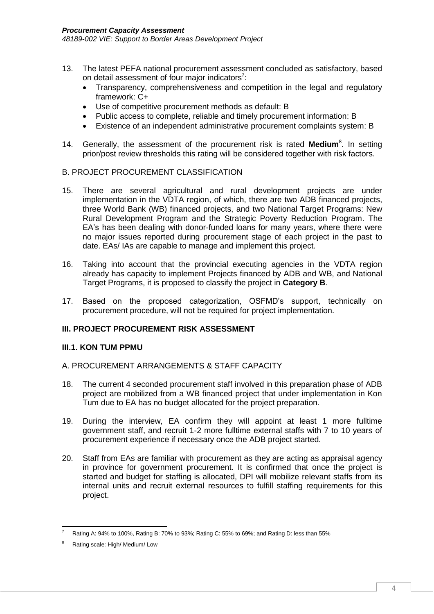- 13. The latest PEFA national procurement assessment concluded as satisfactory, based on detail assessment of four major indicators<sup>7</sup>:
	- Transparency, comprehensiveness and competition in the legal and regulatory framework: C+
	- Use of competitive procurement methods as default: B
	- Public access to complete, reliable and timely procurement information: B
	- Existence of an independent administrative procurement complaints system: B
- 14. Generally, the assessment of the procurement risk is rated Medium<sup>8</sup>. In setting prior/post review thresholds this rating will be considered together with risk factors.

## <span id="page-7-0"></span>B. PROJECT PROCUREMENT CLASSIFICATION

- 15. There are several agricultural and rural development projects are under implementation in the VDTA region, of which, there are two ADB financed projects, three World Bank (WB) financed projects, and two National Target Programs: New Rural Development Program and the Strategic Poverty Reduction Program. The EA's has been dealing with donor-funded loans for many years, where there were no major issues reported during procurement stage of each project in the past to date. EAs/ IAs are capable to manage and implement this project.
- 16. Taking into account that the provincial executing agencies in the VDTA region already has capacity to implement Projects financed by ADB and WB, and National Target Programs, it is proposed to classify the project in **Category B**.
- 17. Based on the proposed categorization, OSFMD's support, technically on procurement procedure, will not be required for project implementation.

#### <span id="page-7-1"></span>**III. PROJECT PROCUREMENT RISK ASSESSMENT**

#### <span id="page-7-2"></span>**III.1. KON TUM PPMU**

#### <span id="page-7-3"></span>A. PROCUREMENT ARRANGEMENTS & STAFF CAPACITY

- 18. The current 4 seconded procurement staff involved in this preparation phase of ADB project are mobilized from a WB financed project that under implementation in Kon Tum due to EA has no budget allocated for the project preparation.
- 19. During the interview, EA confirm they will appoint at least 1 more fulltime government staff, and recruit 1-2 more fulltime external staffs with 7 to 10 years of procurement experience if necessary once the ADB project started.
- 20. Staff from EAs are familiar with procurement as they are acting as appraisal agency in province for government procurement. It is confirmed that once the project is started and budget for staffing is allocated, DPI will mobilize relevant staffs from its internal units and recruit external resources to fulfill staffing requirements for this project.

**.** 

<sup>7</sup> Rating A: 94% to 100%, Rating B: 70% to 93%; Rating C: 55% to 69%; and Rating D: less than 55%

Rating scale: High/ Medium/ Low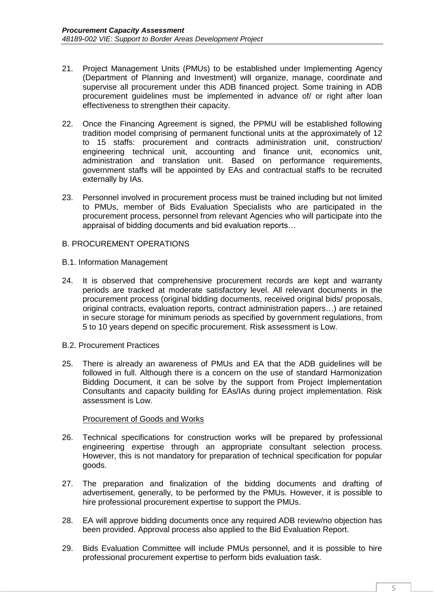- 21. Project Management Units (PMUs) to be established under Implementing Agency (Department of Planning and Investment) will organize, manage, coordinate and supervise all procurement under this ADB financed project. Some training in ADB procurement guidelines must be implemented in advance of/ or right after loan effectiveness to strengthen their capacity.
- 22. Once the Financing Agreement is signed, the PPMU will be established following tradition model comprising of permanent functional units at the approximately of 12 to 15 staffs: procurement and contracts administration unit, construction/ engineering technical unit, accounting and finance unit, economics unit, administration and translation unit. Based on performance requirements, government staffs will be appointed by EAs and contractual staffs to be recruited externally by IAs.
- 23. Personnel involved in procurement process must be trained including but not limited to PMUs, member of Bids Evaluation Specialists who are participated in the procurement process, personnel from relevant Agencies who will participate into the appraisal of bidding documents and bid evaluation reports…

#### <span id="page-8-0"></span>B. PROCUREMENT OPERATIONS

- B.1. Information Management
- 24. It is observed that comprehensive procurement records are kept and warranty periods are tracked at moderate satisfactory level. All relevant documents in the procurement process (original bidding documents, received original bids/ proposals, original contracts, evaluation reports, contract administration papers…) are retained in secure storage for minimum periods as specified by government regulations, from 5 to 10 years depend on specific procurement. Risk assessment is Low.
- B.2. Procurement Practices
- 25. There is already an awareness of PMUs and EA that the ADB guidelines will be followed in full. Although there is a concern on the use of standard Harmonization Bidding Document, it can be solve by the support from Project Implementation Consultants and capacity building for EAs/IAs during project implementation. Risk assessment is Low.

#### Procurement of Goods and Works

- 26. Technical specifications for construction works will be prepared by professional engineering expertise through an appropriate consultant selection process. However, this is not mandatory for preparation of technical specification for popular goods.
- 27. The preparation and finalization of the bidding documents and drafting of advertisement, generally, to be performed by the PMUs. However, it is possible to hire professional procurement expertise to support the PMUs.
- 28. EA will approve bidding documents once any required ADB review/no objection has been provided. Approval process also applied to the Bid Evaluation Report.
- 29. Bids Evaluation Committee will include PMUs personnel, and it is possible to hire professional procurement expertise to perform bids evaluation task.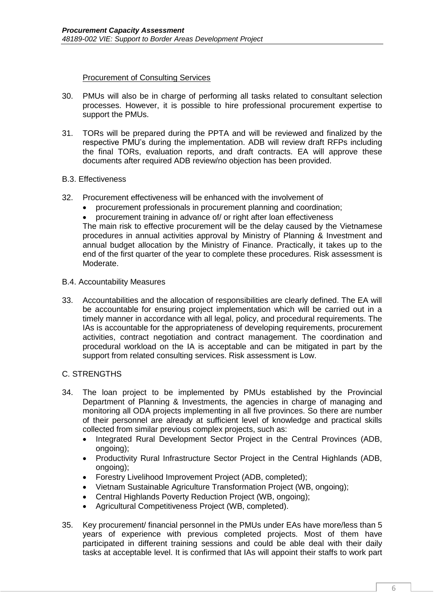#### Procurement of Consulting Services

- 30. PMUs will also be in charge of performing all tasks related to consultant selection processes. However, it is possible to hire professional procurement expertise to support the PMUs.
- 31. TORs will be prepared during the PPTA and will be reviewed and finalized by the respective PMU's during the implementation. ADB will review draft RFPs including the final TORs, evaluation reports, and draft contracts. EA will approve these documents after required ADB review/no objection has been provided.

#### B.3. Effectiveness

- 32. Procurement effectiveness will be enhanced with the involvement of
	- procurement professionals in procurement planning and coordination;
	- procurement training in advance of/ or right after loan effectiveness

The main risk to effective procurement will be the delay caused by the Vietnamese procedures in annual activities approval by Ministry of Planning & Investment and annual budget allocation by the Ministry of Finance. Practically, it takes up to the end of the first quarter of the year to complete these procedures. Risk assessment is Moderate.

#### B.4. Accountability Measures

33. Accountabilities and the allocation of responsibilities are clearly defined. The EA will be accountable for ensuring project implementation which will be carried out in a timely manner in accordance with all legal, policy, and procedural requirements. The IAs is accountable for the appropriateness of developing requirements, procurement activities, contract negotiation and contract management. The coordination and procedural workload on the IA is acceptable and can be mitigated in part by the support from related consulting services. Risk assessment is Low.

#### <span id="page-9-0"></span>C. STRENGTHS

- 34. The loan project to be implemented by PMUs established by the Provincial Department of Planning & Investments, the agencies in charge of managing and monitoring all ODA projects implementing in all five provinces. So there are number of their personnel are already at sufficient level of knowledge and practical skills collected from similar previous complex projects, such as:
	- Integrated Rural Development Sector Project in the Central Provinces (ADB, ongoing);
	- Productivity Rural Infrastructure Sector Project in the Central Highlands (ADB, ongoing);
	- Forestry Livelihood Improvement Project (ADB, completed);
	- Vietnam Sustainable Agriculture Transformation Project (WB, ongoing);
	- Central Highlands Poverty Reduction Project (WB, ongoing);
	- Agricultural Competitiveness Project (WB, completed).
- 35. Key procurement/ financial personnel in the PMUs under EAs have more/less than 5 years of experience with previous completed projects. Most of them have participated in different training sessions and could be able deal with their daily tasks at acceptable level. It is confirmed that IAs will appoint their staffs to work part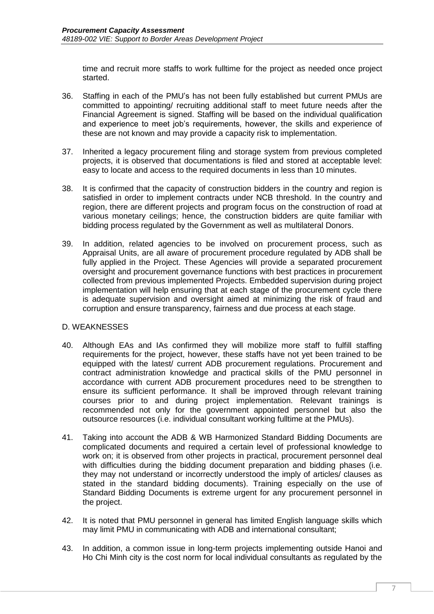time and recruit more staffs to work fulltime for the project as needed once project started.

- 36. Staffing in each of the PMU's has not been fully established but current PMUs are committed to appointing/ recruiting additional staff to meet future needs after the Financial Agreement is signed. Staffing will be based on the individual qualification and experience to meet job's requirements, however, the skills and experience of these are not known and may provide a capacity risk to implementation.
- 37. Inherited a legacy procurement filing and storage system from previous completed projects, it is observed that documentations is filed and stored at acceptable level: easy to locate and access to the required documents in less than 10 minutes.
- 38. It is confirmed that the capacity of construction bidders in the country and region is satisfied in order to implement contracts under NCB threshold. In the country and region, there are different projects and program focus on the construction of road at various monetary ceilings; hence, the construction bidders are quite familiar with bidding process regulated by the Government as well as multilateral Donors.
- 39. In addition, related agencies to be involved on procurement process, such as Appraisal Units, are all aware of procurement procedure regulated by ADB shall be fully applied in the Project. These Agencies will provide a separated procurement oversight and procurement governance functions with best practices in procurement collected from previous implemented Projects. Embedded supervision during project implementation will help ensuring that at each stage of the procurement cycle there is adequate supervision and oversight aimed at minimizing the risk of fraud and corruption and ensure transparency, fairness and due process at each stage.

#### <span id="page-10-0"></span>D. WEAKNESSES

- 40. Although EAs and IAs confirmed they will mobilize more staff to fulfill staffing requirements for the project, however, these staffs have not yet been trained to be equipped with the latest/ current ADB procurement regulations. Procurement and contract administration knowledge and practical skills of the PMU personnel in accordance with current ADB procurement procedures need to be strengthen to ensure its sufficient performance. It shall be improved through relevant training courses prior to and during project implementation. Relevant trainings is recommended not only for the government appointed personnel but also the outsource resources (i.e. individual consultant working fulltime at the PMUs).
- 41. Taking into account the ADB & WB Harmonized Standard Bidding Documents are complicated documents and required a certain level of professional knowledge to work on; it is observed from other projects in practical, procurement personnel deal with difficulties during the bidding document preparation and bidding phases (i.e. they may not understand or incorrectly understood the imply of articles/ clauses as stated in the standard bidding documents). Training especially on the use of Standard Bidding Documents is extreme urgent for any procurement personnel in the project.
- 42. It is noted that PMU personnel in general has limited English language skills which may limit PMU in communicating with ADB and international consultant;
- 43. In addition, a common issue in long-term projects implementing outside Hanoi and Ho Chi Minh city is the cost norm for local individual consultants as regulated by the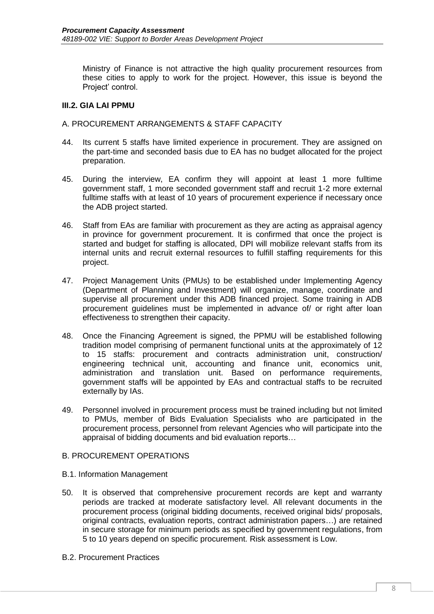Ministry of Finance is not attractive the high quality procurement resources from these cities to apply to work for the project. However, this issue is beyond the Project' control.

## <span id="page-11-0"></span>**III.2. GIA LAI PPMU**

### <span id="page-11-1"></span>A. PROCUREMENT ARRANGEMENTS & STAFF CAPACITY

- 44. Its current 5 staffs have limited experience in procurement. They are assigned on the part-time and seconded basis due to EA has no budget allocated for the project preparation.
- 45. During the interview, EA confirm they will appoint at least 1 more fulltime government staff, 1 more seconded government staff and recruit 1-2 more external fulltime staffs with at least of 10 years of procurement experience if necessary once the ADB project started.
- 46. Staff from EAs are familiar with procurement as they are acting as appraisal agency in province for government procurement. It is confirmed that once the project is started and budget for staffing is allocated, DPI will mobilize relevant staffs from its internal units and recruit external resources to fulfill staffing requirements for this project.
- 47. Project Management Units (PMUs) to be established under Implementing Agency (Department of Planning and Investment) will organize, manage, coordinate and supervise all procurement under this ADB financed project. Some training in ADB procurement guidelines must be implemented in advance of/ or right after loan effectiveness to strengthen their capacity.
- 48. Once the Financing Agreement is signed, the PPMU will be established following tradition model comprising of permanent functional units at the approximately of 12 to 15 staffs: procurement and contracts administration unit, construction/ engineering technical unit, accounting and finance unit, economics unit, administration and translation unit. Based on performance requirements, government staffs will be appointed by EAs and contractual staffs to be recruited externally by IAs.
- 49. Personnel involved in procurement process must be trained including but not limited to PMUs, member of Bids Evaluation Specialists who are participated in the procurement process, personnel from relevant Agencies who will participate into the appraisal of bidding documents and bid evaluation reports…

#### <span id="page-11-2"></span>B. PROCUREMENT OPERATIONS

- B.1. Information Management
- 50. It is observed that comprehensive procurement records are kept and warranty periods are tracked at moderate satisfactory level. All relevant documents in the procurement process (original bidding documents, received original bids/ proposals, original contracts, evaluation reports, contract administration papers…) are retained in secure storage for minimum periods as specified by government regulations, from 5 to 10 years depend on specific procurement. Risk assessment is Low.
- B.2. Procurement Practices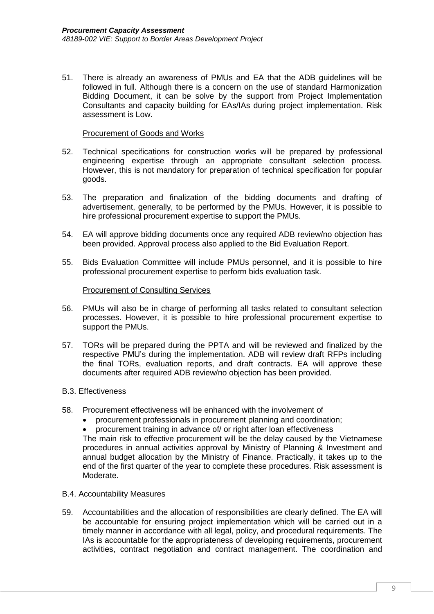51. There is already an awareness of PMUs and EA that the ADB guidelines will be followed in full. Although there is a concern on the use of standard Harmonization Bidding Document, it can be solve by the support from Project Implementation Consultants and capacity building for EAs/IAs during project implementation. Risk assessment is Low.

#### Procurement of Goods and Works

- 52. Technical specifications for construction works will be prepared by professional engineering expertise through an appropriate consultant selection process. However, this is not mandatory for preparation of technical specification for popular goods.
- 53. The preparation and finalization of the bidding documents and drafting of advertisement, generally, to be performed by the PMUs. However, it is possible to hire professional procurement expertise to support the PMUs.
- 54. EA will approve bidding documents once any required ADB review/no objection has been provided. Approval process also applied to the Bid Evaluation Report.
- 55. Bids Evaluation Committee will include PMUs personnel, and it is possible to hire professional procurement expertise to perform bids evaluation task.

#### Procurement of Consulting Services

- 56. PMUs will also be in charge of performing all tasks related to consultant selection processes. However, it is possible to hire professional procurement expertise to support the PMUs.
- 57. TORs will be prepared during the PPTA and will be reviewed and finalized by the respective PMU's during the implementation. ADB will review draft RFPs including the final TORs, evaluation reports, and draft contracts. EA will approve these documents after required ADB review/no objection has been provided.

#### B.3. Effectiveness

- 58. Procurement effectiveness will be enhanced with the involvement of
	- procurement professionals in procurement planning and coordination;
	- procurement training in advance of/ or right after loan effectiveness

The main risk to effective procurement will be the delay caused by the Vietnamese procedures in annual activities approval by Ministry of Planning & Investment and annual budget allocation by the Ministry of Finance. Practically, it takes up to the end of the first quarter of the year to complete these procedures. Risk assessment is Moderate.

#### B.4. Accountability Measures

59. Accountabilities and the allocation of responsibilities are clearly defined. The EA will be accountable for ensuring project implementation which will be carried out in a timely manner in accordance with all legal, policy, and procedural requirements. The IAs is accountable for the appropriateness of developing requirements, procurement activities, contract negotiation and contract management. The coordination and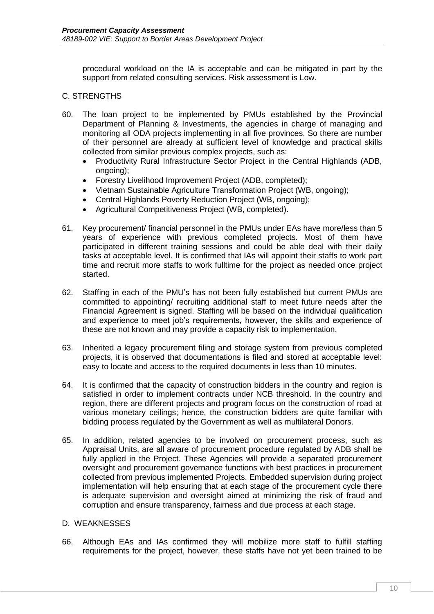procedural workload on the IA is acceptable and can be mitigated in part by the support from related consulting services. Risk assessment is Low.

### <span id="page-13-0"></span>C. STRENGTHS

- 60. The loan project to be implemented by PMUs established by the Provincial Department of Planning & Investments, the agencies in charge of managing and monitoring all ODA projects implementing in all five provinces. So there are number of their personnel are already at sufficient level of knowledge and practical skills collected from similar previous complex projects, such as:
	- Productivity Rural Infrastructure Sector Project in the Central Highlands (ADB, ongoing);
	- Forestry Livelihood Improvement Project (ADB, completed);
	- Vietnam Sustainable Agriculture Transformation Project (WB, ongoing);
	- Central Highlands Poverty Reduction Project (WB, ongoing);
	- Agricultural Competitiveness Project (WB, completed).
- 61. Key procurement/ financial personnel in the PMUs under EAs have more/less than 5 years of experience with previous completed projects. Most of them have participated in different training sessions and could be able deal with their daily tasks at acceptable level. It is confirmed that IAs will appoint their staffs to work part time and recruit more staffs to work fulltime for the project as needed once project started.
- 62. Staffing in each of the PMU's has not been fully established but current PMUs are committed to appointing/ recruiting additional staff to meet future needs after the Financial Agreement is signed. Staffing will be based on the individual qualification and experience to meet job's requirements, however, the skills and experience of these are not known and may provide a capacity risk to implementation.
- 63. Inherited a legacy procurement filing and storage system from previous completed projects, it is observed that documentations is filed and stored at acceptable level: easy to locate and access to the required documents in less than 10 minutes.
- 64. It is confirmed that the capacity of construction bidders in the country and region is satisfied in order to implement contracts under NCB threshold. In the country and region, there are different projects and program focus on the construction of road at various monetary ceilings; hence, the construction bidders are quite familiar with bidding process regulated by the Government as well as multilateral Donors.
- 65. In addition, related agencies to be involved on procurement process, such as Appraisal Units, are all aware of procurement procedure regulated by ADB shall be fully applied in the Project. These Agencies will provide a separated procurement oversight and procurement governance functions with best practices in procurement collected from previous implemented Projects. Embedded supervision during project implementation will help ensuring that at each stage of the procurement cycle there is adequate supervision and oversight aimed at minimizing the risk of fraud and corruption and ensure transparency, fairness and due process at each stage.

## <span id="page-13-1"></span>D. WEAKNESSES

66. Although EAs and IAs confirmed they will mobilize more staff to fulfill staffing requirements for the project, however, these staffs have not yet been trained to be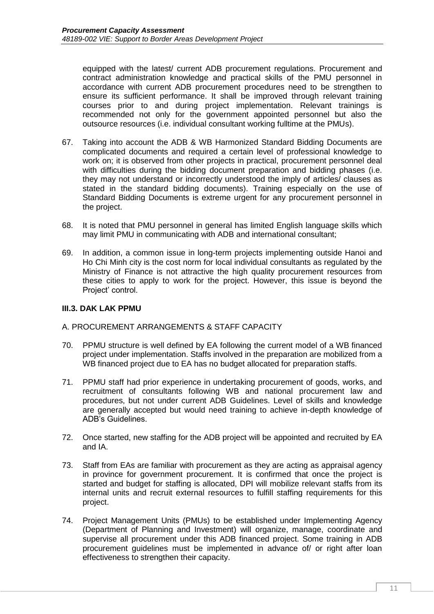equipped with the latest/ current ADB procurement regulations. Procurement and contract administration knowledge and practical skills of the PMU personnel in accordance with current ADB procurement procedures need to be strengthen to ensure its sufficient performance. It shall be improved through relevant training courses prior to and during project implementation. Relevant trainings is recommended not only for the government appointed personnel but also the outsource resources (i.e. individual consultant working fulltime at the PMUs).

- 67. Taking into account the ADB & WB Harmonized Standard Bidding Documents are complicated documents and required a certain level of professional knowledge to work on; it is observed from other projects in practical, procurement personnel deal with difficulties during the bidding document preparation and bidding phases (i.e. they may not understand or incorrectly understood the imply of articles/ clauses as stated in the standard bidding documents). Training especially on the use of Standard Bidding Documents is extreme urgent for any procurement personnel in the project.
- 68. It is noted that PMU personnel in general has limited English language skills which may limit PMU in communicating with ADB and international consultant;
- 69. In addition, a common issue in long-term projects implementing outside Hanoi and Ho Chi Minh city is the cost norm for local individual consultants as regulated by the Ministry of Finance is not attractive the high quality procurement resources from these cities to apply to work for the project. However, this issue is beyond the Project' control.

### <span id="page-14-0"></span>**III.3. DAK LAK PPMU**

#### <span id="page-14-1"></span>A. PROCUREMENT ARRANGEMENTS & STAFF CAPACITY

- 70. PPMU structure is well defined by EA following the current model of a WB financed project under implementation. Staffs involved in the preparation are mobilized from a WB financed project due to EA has no budget allocated for preparation staffs.
- 71. PPMU staff had prior experience in undertaking procurement of goods, works, and recruitment of consultants following WB and national procurement law and procedures, but not under current ADB Guidelines. Level of skills and knowledge are generally accepted but would need training to achieve in-depth knowledge of ADB's Guidelines.
- 72. Once started, new staffing for the ADB project will be appointed and recruited by EA and IA.
- 73. Staff from EAs are familiar with procurement as they are acting as appraisal agency in province for government procurement. It is confirmed that once the project is started and budget for staffing is allocated, DPI will mobilize relevant staffs from its internal units and recruit external resources to fulfill staffing requirements for this project.
- 74. Project Management Units (PMUs) to be established under Implementing Agency (Department of Planning and Investment) will organize, manage, coordinate and supervise all procurement under this ADB financed project. Some training in ADB procurement guidelines must be implemented in advance of/ or right after loan effectiveness to strengthen their capacity.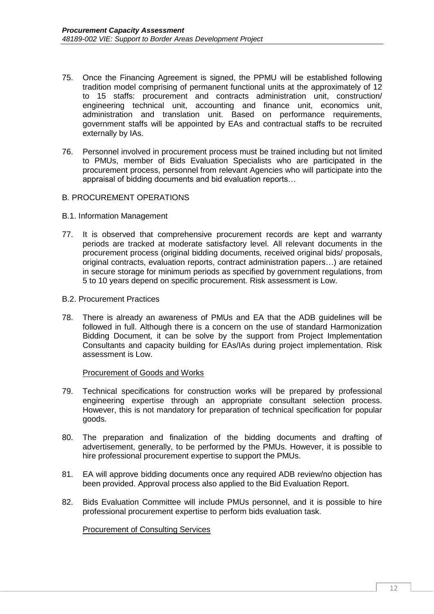- 75. Once the Financing Agreement is signed, the PPMU will be established following tradition model comprising of permanent functional units at the approximately of 12 to 15 staffs: procurement and contracts administration unit, construction/ engineering technical unit, accounting and finance unit, economics unit, administration and translation unit. Based on performance requirements, government staffs will be appointed by EAs and contractual staffs to be recruited externally by IAs.
- 76. Personnel involved in procurement process must be trained including but not limited to PMUs, member of Bids Evaluation Specialists who are participated in the procurement process, personnel from relevant Agencies who will participate into the appraisal of bidding documents and bid evaluation reports…

#### <span id="page-15-0"></span>B. PROCUREMENT OPERATIONS

- B.1. Information Management
- 77. It is observed that comprehensive procurement records are kept and warranty periods are tracked at moderate satisfactory level. All relevant documents in the procurement process (original bidding documents, received original bids/ proposals, original contracts, evaluation reports, contract administration papers…) are retained in secure storage for minimum periods as specified by government regulations, from 5 to 10 years depend on specific procurement. Risk assessment is Low.
- B.2. Procurement Practices
- 78. There is already an awareness of PMUs and EA that the ADB guidelines will be followed in full. Although there is a concern on the use of standard Harmonization Bidding Document, it can be solve by the support from Project Implementation Consultants and capacity building for EAs/IAs during project implementation. Risk assessment is Low.

#### Procurement of Goods and Works

- 79. Technical specifications for construction works will be prepared by professional engineering expertise through an appropriate consultant selection process. However, this is not mandatory for preparation of technical specification for popular goods.
- 80. The preparation and finalization of the bidding documents and drafting of advertisement, generally, to be performed by the PMUs. However, it is possible to hire professional procurement expertise to support the PMUs.
- 81. EA will approve bidding documents once any required ADB review/no objection has been provided. Approval process also applied to the Bid Evaluation Report.
- 82. Bids Evaluation Committee will include PMUs personnel, and it is possible to hire professional procurement expertise to perform bids evaluation task.

Procurement of Consulting Services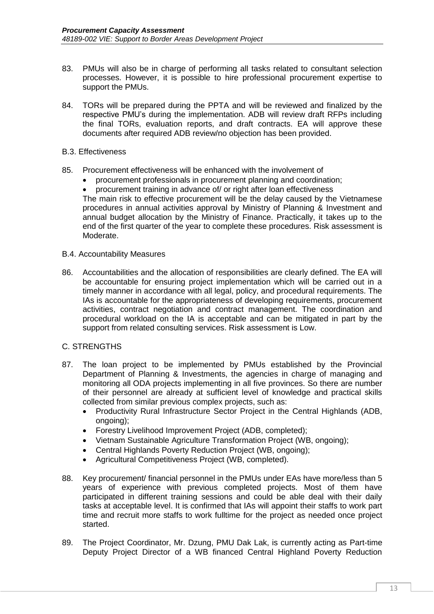- 83. PMUs will also be in charge of performing all tasks related to consultant selection processes. However, it is possible to hire professional procurement expertise to support the PMUs.
- 84. TORs will be prepared during the PPTA and will be reviewed and finalized by the respective PMU's during the implementation. ADB will review draft RFPs including the final TORs, evaluation reports, and draft contracts. EA will approve these documents after required ADB review/no objection has been provided.

#### B.3. Effectiveness

- 85. Procurement effectiveness will be enhanced with the involvement of
	- procurement professionals in procurement planning and coordination;<br>• procurement training in advance of/ or right after loan effectiveness
	- procurement training in advance of/ or right after loan effectiveness

The main risk to effective procurement will be the delay caused by the Vietnamese procedures in annual activities approval by Ministry of Planning & Investment and annual budget allocation by the Ministry of Finance. Practically, it takes up to the end of the first quarter of the year to complete these procedures. Risk assessment is Moderate.

- B.4. Accountability Measures
- 86. Accountabilities and the allocation of responsibilities are clearly defined. The EA will be accountable for ensuring project implementation which will be carried out in a timely manner in accordance with all legal, policy, and procedural requirements. The IAs is accountable for the appropriateness of developing requirements, procurement activities, contract negotiation and contract management. The coordination and procedural workload on the IA is acceptable and can be mitigated in part by the support from related consulting services. Risk assessment is Low.

#### <span id="page-16-0"></span>C. STRENGTHS

- 87. The loan project to be implemented by PMUs established by the Provincial Department of Planning & Investments, the agencies in charge of managing and monitoring all ODA projects implementing in all five provinces. So there are number of their personnel are already at sufficient level of knowledge and practical skills collected from similar previous complex projects, such as:
	- Productivity Rural Infrastructure Sector Project in the Central Highlands (ADB, ongoing);
	- Forestry Livelihood Improvement Project (ADB, completed);
	- Vietnam Sustainable Agriculture Transformation Project (WB, ongoing);
	- Central Highlands Poverty Reduction Project (WB, ongoing);
	- Agricultural Competitiveness Project (WB, completed).
- 88. Key procurement/ financial personnel in the PMUs under EAs have more/less than 5 years of experience with previous completed projects. Most of them have participated in different training sessions and could be able deal with their daily tasks at acceptable level. It is confirmed that IAs will appoint their staffs to work part time and recruit more staffs to work fulltime for the project as needed once project started.
- 89. The Project Coordinator, Mr. Dzung, PMU Dak Lak, is currently acting as Part-time Deputy Project Director of a WB financed Central Highland Poverty Reduction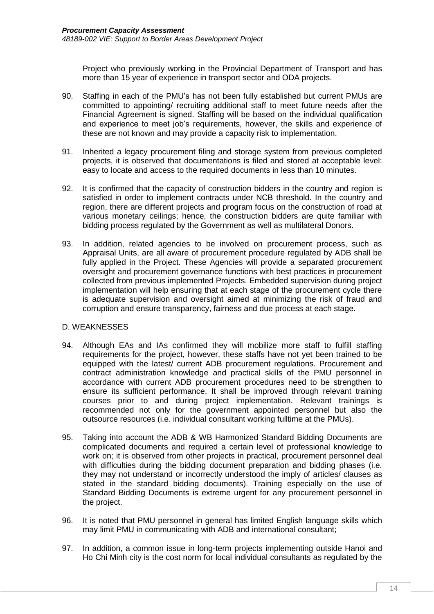Project who previously working in the Provincial Department of Transport and has more than 15 year of experience in transport sector and ODA projects.

- 90. Staffing in each of the PMU's has not been fully established but current PMUs are committed to appointing/ recruiting additional staff to meet future needs after the Financial Agreement is signed. Staffing will be based on the individual qualification and experience to meet job's requirements, however, the skills and experience of these are not known and may provide a capacity risk to implementation.
- 91. Inherited a legacy procurement filing and storage system from previous completed projects, it is observed that documentations is filed and stored at acceptable level: easy to locate and access to the required documents in less than 10 minutes.
- 92. It is confirmed that the capacity of construction bidders in the country and region is satisfied in order to implement contracts under NCB threshold. In the country and region, there are different projects and program focus on the construction of road at various monetary ceilings; hence, the construction bidders are quite familiar with bidding process regulated by the Government as well as multilateral Donors.
- 93. In addition, related agencies to be involved on procurement process, such as Appraisal Units, are all aware of procurement procedure regulated by ADB shall be fully applied in the Project. These Agencies will provide a separated procurement oversight and procurement governance functions with best practices in procurement collected from previous implemented Projects. Embedded supervision during project implementation will help ensuring that at each stage of the procurement cycle there is adequate supervision and oversight aimed at minimizing the risk of fraud and corruption and ensure transparency, fairness and due process at each stage.

#### <span id="page-17-0"></span>D. WEAKNESSES

- 94. Although EAs and IAs confirmed they will mobilize more staff to fulfill staffing requirements for the project, however, these staffs have not yet been trained to be equipped with the latest/ current ADB procurement regulations. Procurement and contract administration knowledge and practical skills of the PMU personnel in accordance with current ADB procurement procedures need to be strengthen to ensure its sufficient performance. It shall be improved through relevant training courses prior to and during project implementation. Relevant trainings is recommended not only for the government appointed personnel but also the outsource resources (i.e. individual consultant working fulltime at the PMUs).
- 95. Taking into account the ADB & WB Harmonized Standard Bidding Documents are complicated documents and required a certain level of professional knowledge to work on; it is observed from other projects in practical, procurement personnel deal with difficulties during the bidding document preparation and bidding phases (i.e. they may not understand or incorrectly understood the imply of articles/ clauses as stated in the standard bidding documents). Training especially on the use of Standard Bidding Documents is extreme urgent for any procurement personnel in the project.
- 96. It is noted that PMU personnel in general has limited English language skills which may limit PMU in communicating with ADB and international consultant;
- 97. In addition, a common issue in long-term projects implementing outside Hanoi and Ho Chi Minh city is the cost norm for local individual consultants as regulated by the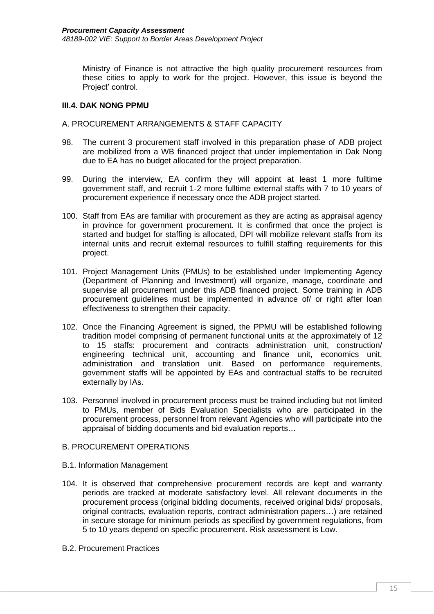Ministry of Finance is not attractive the high quality procurement resources from these cities to apply to work for the project. However, this issue is beyond the Project' control.

## <span id="page-18-0"></span>**III.4. DAK NONG PPMU**

### <span id="page-18-1"></span>A. PROCUREMENT ARRANGEMENTS & STAFF CAPACITY

- 98. The current 3 procurement staff involved in this preparation phase of ADB project are mobilized from a WB financed project that under implementation in Dak Nong due to EA has no budget allocated for the project preparation.
- 99. During the interview, EA confirm they will appoint at least 1 more fulltime government staff, and recruit 1-2 more fulltime external staffs with 7 to 10 years of procurement experience if necessary once the ADB project started.
- 100. Staff from EAs are familiar with procurement as they are acting as appraisal agency in province for government procurement. It is confirmed that once the project is started and budget for staffing is allocated, DPI will mobilize relevant staffs from its internal units and recruit external resources to fulfill staffing requirements for this project.
- 101. Project Management Units (PMUs) to be established under Implementing Agency (Department of Planning and Investment) will organize, manage, coordinate and supervise all procurement under this ADB financed project. Some training in ADB procurement guidelines must be implemented in advance of/ or right after loan effectiveness to strengthen their capacity.
- 102. Once the Financing Agreement is signed, the PPMU will be established following tradition model comprising of permanent functional units at the approximately of 12 to 15 staffs: procurement and contracts administration unit, construction/ engineering technical unit, accounting and finance unit, economics unit, administration and translation unit. Based on performance requirements, government staffs will be appointed by EAs and contractual staffs to be recruited externally by IAs.
- 103. Personnel involved in procurement process must be trained including but not limited to PMUs, member of Bids Evaluation Specialists who are participated in the procurement process, personnel from relevant Agencies who will participate into the appraisal of bidding documents and bid evaluation reports…

#### <span id="page-18-2"></span>B. PROCUREMENT OPERATIONS

- B.1. Information Management
- 104. It is observed that comprehensive procurement records are kept and warranty periods are tracked at moderate satisfactory level. All relevant documents in the procurement process (original bidding documents, received original bids/ proposals, original contracts, evaluation reports, contract administration papers…) are retained in secure storage for minimum periods as specified by government regulations, from 5 to 10 years depend on specific procurement. Risk assessment is Low.
- B.2. Procurement Practices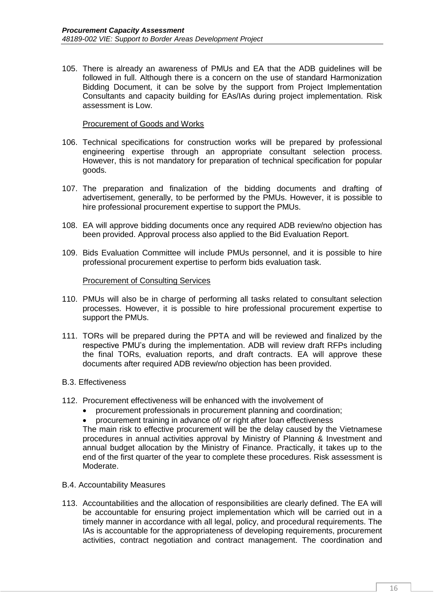105. There is already an awareness of PMUs and EA that the ADB guidelines will be followed in full. Although there is a concern on the use of standard Harmonization Bidding Document, it can be solve by the support from Project Implementation Consultants and capacity building for EAs/IAs during project implementation. Risk assessment is Low.

#### Procurement of Goods and Works

- 106. Technical specifications for construction works will be prepared by professional engineering expertise through an appropriate consultant selection process. However, this is not mandatory for preparation of technical specification for popular goods.
- 107. The preparation and finalization of the bidding documents and drafting of advertisement, generally, to be performed by the PMUs. However, it is possible to hire professional procurement expertise to support the PMUs.
- 108. EA will approve bidding documents once any required ADB review/no objection has been provided. Approval process also applied to the Bid Evaluation Report.
- 109. Bids Evaluation Committee will include PMUs personnel, and it is possible to hire professional procurement expertise to perform bids evaluation task.

#### Procurement of Consulting Services

- 110. PMUs will also be in charge of performing all tasks related to consultant selection processes. However, it is possible to hire professional procurement expertise to support the PMUs.
- 111. TORs will be prepared during the PPTA and will be reviewed and finalized by the respective PMU's during the implementation. ADB will review draft RFPs including the final TORs, evaluation reports, and draft contracts. EA will approve these documents after required ADB review/no objection has been provided.

#### B.3. Effectiveness

- 112. Procurement effectiveness will be enhanced with the involvement of
	- procurement professionals in procurement planning and coordination;
	- procurement training in advance of/ or right after loan effectiveness

The main risk to effective procurement will be the delay caused by the Vietnamese procedures in annual activities approval by Ministry of Planning & Investment and annual budget allocation by the Ministry of Finance. Practically, it takes up to the end of the first quarter of the year to complete these procedures. Risk assessment is Moderate.

#### B.4. Accountability Measures

113. Accountabilities and the allocation of responsibilities are clearly defined. The EA will be accountable for ensuring project implementation which will be carried out in a timely manner in accordance with all legal, policy, and procedural requirements. The IAs is accountable for the appropriateness of developing requirements, procurement activities, contract negotiation and contract management. The coordination and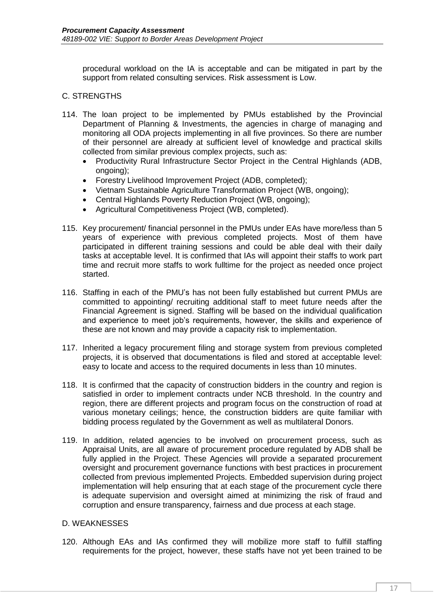procedural workload on the IA is acceptable and can be mitigated in part by the support from related consulting services. Risk assessment is Low.

### <span id="page-20-0"></span>C. STRENGTHS

- 114. The loan project to be implemented by PMUs established by the Provincial Department of Planning & Investments, the agencies in charge of managing and monitoring all ODA projects implementing in all five provinces. So there are number of their personnel are already at sufficient level of knowledge and practical skills collected from similar previous complex projects, such as:
	- Productivity Rural Infrastructure Sector Project in the Central Highlands (ADB, ongoing);
	- Forestry Livelihood Improvement Project (ADB, completed);
	- Vietnam Sustainable Agriculture Transformation Project (WB, ongoing);
	- Central Highlands Poverty Reduction Project (WB, ongoing);
	- Agricultural Competitiveness Project (WB, completed).
- 115. Key procurement/ financial personnel in the PMUs under EAs have more/less than 5 years of experience with previous completed projects. Most of them have participated in different training sessions and could be able deal with their daily tasks at acceptable level. It is confirmed that IAs will appoint their staffs to work part time and recruit more staffs to work fulltime for the project as needed once project started.
- 116. Staffing in each of the PMU's has not been fully established but current PMUs are committed to appointing/ recruiting additional staff to meet future needs after the Financial Agreement is signed. Staffing will be based on the individual qualification and experience to meet job's requirements, however, the skills and experience of these are not known and may provide a capacity risk to implementation.
- 117. Inherited a legacy procurement filing and storage system from previous completed projects, it is observed that documentations is filed and stored at acceptable level: easy to locate and access to the required documents in less than 10 minutes.
- 118. It is confirmed that the capacity of construction bidders in the country and region is satisfied in order to implement contracts under NCB threshold. In the country and region, there are different projects and program focus on the construction of road at various monetary ceilings; hence, the construction bidders are quite familiar with bidding process regulated by the Government as well as multilateral Donors.
- 119. In addition, related agencies to be involved on procurement process, such as Appraisal Units, are all aware of procurement procedure regulated by ADB shall be fully applied in the Project. These Agencies will provide a separated procurement oversight and procurement governance functions with best practices in procurement collected from previous implemented Projects. Embedded supervision during project implementation will help ensuring that at each stage of the procurement cycle there is adequate supervision and oversight aimed at minimizing the risk of fraud and corruption and ensure transparency, fairness and due process at each stage.

## <span id="page-20-1"></span>D. WEAKNESSES

120. Although EAs and IAs confirmed they will mobilize more staff to fulfill staffing requirements for the project, however, these staffs have not yet been trained to be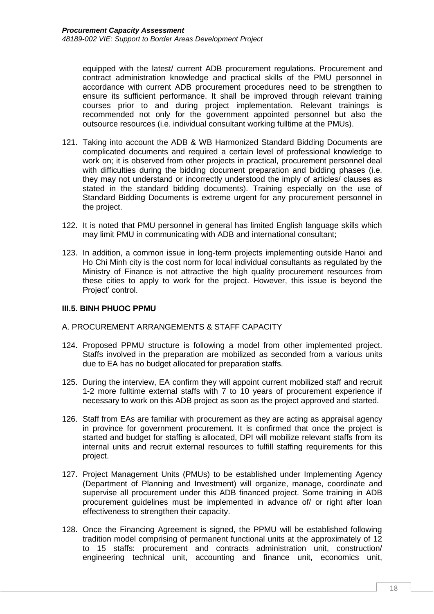equipped with the latest/ current ADB procurement regulations. Procurement and contract administration knowledge and practical skills of the PMU personnel in accordance with current ADB procurement procedures need to be strengthen to ensure its sufficient performance. It shall be improved through relevant training courses prior to and during project implementation. Relevant trainings is recommended not only for the government appointed personnel but also the outsource resources (i.e. individual consultant working fulltime at the PMUs).

- 121. Taking into account the ADB & WB Harmonized Standard Bidding Documents are complicated documents and required a certain level of professional knowledge to work on; it is observed from other projects in practical, procurement personnel deal with difficulties during the bidding document preparation and bidding phases (i.e. they may not understand or incorrectly understood the imply of articles/ clauses as stated in the standard bidding documents). Training especially on the use of Standard Bidding Documents is extreme urgent for any procurement personnel in the project.
- 122. It is noted that PMU personnel in general has limited English language skills which may limit PMU in communicating with ADB and international consultant;
- 123. In addition, a common issue in long-term projects implementing outside Hanoi and Ho Chi Minh city is the cost norm for local individual consultants as regulated by the Ministry of Finance is not attractive the high quality procurement resources from these cities to apply to work for the project. However, this issue is beyond the Project' control.

#### <span id="page-21-0"></span>**III.5. BINH PHUOC PPMU**

#### <span id="page-21-1"></span>A. PROCUREMENT ARRANGEMENTS & STAFF CAPACITY

- 124. Proposed PPMU structure is following a model from other implemented project. Staffs involved in the preparation are mobilized as seconded from a various units due to EA has no budget allocated for preparation staffs.
- 125. During the interview, EA confirm they will appoint current mobilized staff and recruit 1-2 more fulltime external staffs with 7 to 10 years of procurement experience if necessary to work on this ADB project as soon as the project approved and started.
- 126. Staff from EAs are familiar with procurement as they are acting as appraisal agency in province for government procurement. It is confirmed that once the project is started and budget for staffing is allocated, DPI will mobilize relevant staffs from its internal units and recruit external resources to fulfill staffing requirements for this project.
- 127. Project Management Units (PMUs) to be established under Implementing Agency (Department of Planning and Investment) will organize, manage, coordinate and supervise all procurement under this ADB financed project. Some training in ADB procurement guidelines must be implemented in advance of/ or right after loan effectiveness to strengthen their capacity.
- 128. Once the Financing Agreement is signed, the PPMU will be established following tradition model comprising of permanent functional units at the approximately of 12 to 15 staffs: procurement and contracts administration unit, construction/ engineering technical unit, accounting and finance unit, economics unit,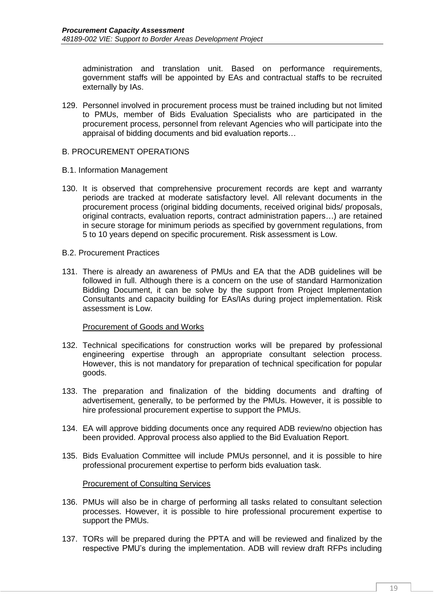administration and translation unit. Based on performance requirements, government staffs will be appointed by EAs and contractual staffs to be recruited externally by IAs.

129. Personnel involved in procurement process must be trained including but not limited to PMUs, member of Bids Evaluation Specialists who are participated in the procurement process, personnel from relevant Agencies who will participate into the appraisal of bidding documents and bid evaluation reports…

#### <span id="page-22-0"></span>B. PROCUREMENT OPERATIONS

- B.1. Information Management
- 130. It is observed that comprehensive procurement records are kept and warranty periods are tracked at moderate satisfactory level. All relevant documents in the procurement process (original bidding documents, received original bids/ proposals, original contracts, evaluation reports, contract administration papers…) are retained in secure storage for minimum periods as specified by government regulations, from 5 to 10 years depend on specific procurement. Risk assessment is Low.
- B.2. Procurement Practices
- 131. There is already an awareness of PMUs and EA that the ADB guidelines will be followed in full. Although there is a concern on the use of standard Harmonization Bidding Document, it can be solve by the support from Project Implementation Consultants and capacity building for EAs/IAs during project implementation. Risk assessment is Low.

#### Procurement of Goods and Works

- 132. Technical specifications for construction works will be prepared by professional engineering expertise through an appropriate consultant selection process. However, this is not mandatory for preparation of technical specification for popular goods.
- 133. The preparation and finalization of the bidding documents and drafting of advertisement, generally, to be performed by the PMUs. However, it is possible to hire professional procurement expertise to support the PMUs.
- 134. EA will approve bidding documents once any required ADB review/no objection has been provided. Approval process also applied to the Bid Evaluation Report.
- 135. Bids Evaluation Committee will include PMUs personnel, and it is possible to hire professional procurement expertise to perform bids evaluation task.

#### Procurement of Consulting Services

- 136. PMUs will also be in charge of performing all tasks related to consultant selection processes. However, it is possible to hire professional procurement expertise to support the PMUs.
- 137. TORs will be prepared during the PPTA and will be reviewed and finalized by the respective PMU's during the implementation. ADB will review draft RFPs including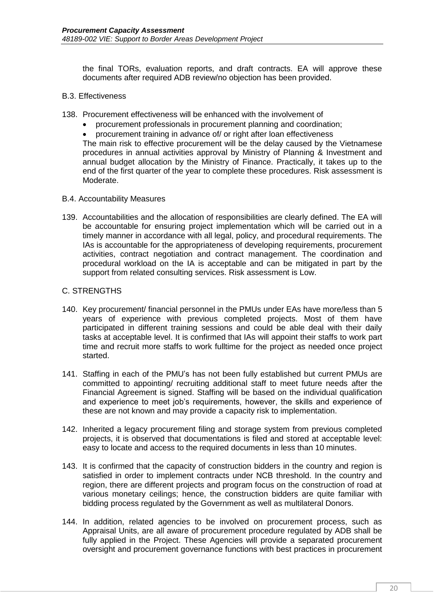the final TORs, evaluation reports, and draft contracts. EA will approve these documents after required ADB review/no objection has been provided.

#### B.3. Effectiveness

- 138. Procurement effectiveness will be enhanced with the involvement of
	- procurement professionals in procurement planning and coordination;
	- procurement training in advance of/ or right after loan effectiveness

The main risk to effective procurement will be the delay caused by the Vietnamese procedures in annual activities approval by Ministry of Planning & Investment and annual budget allocation by the Ministry of Finance. Practically, it takes up to the end of the first quarter of the year to complete these procedures. Risk assessment is Moderate.

#### B.4. Accountability Measures

139. Accountabilities and the allocation of responsibilities are clearly defined. The EA will be accountable for ensuring project implementation which will be carried out in a timely manner in accordance with all legal, policy, and procedural requirements. The IAs is accountable for the appropriateness of developing requirements, procurement activities, contract negotiation and contract management. The coordination and procedural workload on the IA is acceptable and can be mitigated in part by the support from related consulting services. Risk assessment is Low.

#### <span id="page-23-0"></span>C. STRENGTHS

- 140. Key procurement/ financial personnel in the PMUs under EAs have more/less than 5 years of experience with previous completed projects. Most of them have participated in different training sessions and could be able deal with their daily tasks at acceptable level. It is confirmed that IAs will appoint their staffs to work part time and recruit more staffs to work fulltime for the project as needed once project started.
- 141. Staffing in each of the PMU's has not been fully established but current PMUs are committed to appointing/ recruiting additional staff to meet future needs after the Financial Agreement is signed. Staffing will be based on the individual qualification and experience to meet job's requirements, however, the skills and experience of these are not known and may provide a capacity risk to implementation.
- 142. Inherited a legacy procurement filing and storage system from previous completed projects, it is observed that documentations is filed and stored at acceptable level: easy to locate and access to the required documents in less than 10 minutes.
- 143. It is confirmed that the capacity of construction bidders in the country and region is satisfied in order to implement contracts under NCB threshold. In the country and region, there are different projects and program focus on the construction of road at various monetary ceilings; hence, the construction bidders are quite familiar with bidding process regulated by the Government as well as multilateral Donors.
- 144. In addition, related agencies to be involved on procurement process, such as Appraisal Units, are all aware of procurement procedure regulated by ADB shall be fully applied in the Project. These Agencies will provide a separated procurement oversight and procurement governance functions with best practices in procurement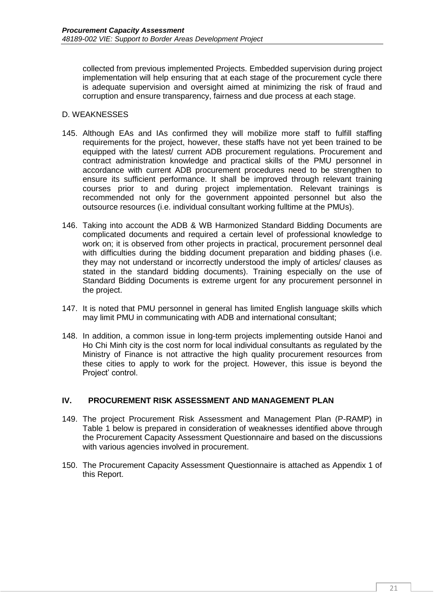collected from previous implemented Projects. Embedded supervision during project implementation will help ensuring that at each stage of the procurement cycle there is adequate supervision and oversight aimed at minimizing the risk of fraud and corruption and ensure transparency, fairness and due process at each stage.

## <span id="page-24-0"></span>D. WEAKNESSES

- 145. Although EAs and IAs confirmed they will mobilize more staff to fulfill staffing requirements for the project, however, these staffs have not yet been trained to be equipped with the latest/ current ADB procurement regulations. Procurement and contract administration knowledge and practical skills of the PMU personnel in accordance with current ADB procurement procedures need to be strengthen to ensure its sufficient performance. It shall be improved through relevant training courses prior to and during project implementation. Relevant trainings is recommended not only for the government appointed personnel but also the outsource resources (i.e. individual consultant working fulltime at the PMUs).
- 146. Taking into account the ADB & WB Harmonized Standard Bidding Documents are complicated documents and required a certain level of professional knowledge to work on; it is observed from other projects in practical, procurement personnel deal with difficulties during the bidding document preparation and bidding phases (i.e. they may not understand or incorrectly understood the imply of articles/ clauses as stated in the standard bidding documents). Training especially on the use of Standard Bidding Documents is extreme urgent for any procurement personnel in the project.
- 147. It is noted that PMU personnel in general has limited English language skills which may limit PMU in communicating with ADB and international consultant;
- 148. In addition, a common issue in long-term projects implementing outside Hanoi and Ho Chi Minh city is the cost norm for local individual consultants as regulated by the Ministry of Finance is not attractive the high quality procurement resources from these cities to apply to work for the project. However, this issue is beyond the Project' control.

# <span id="page-24-1"></span>**IV. PROCUREMENT RISK ASSESSMENT AND MANAGEMENT PLAN**

- 149. The project Procurement Risk Assessment and Management Plan (P-RAMP) in Table 1 below is prepared in consideration of weaknesses identified above through the Procurement Capacity Assessment Questionnaire and based on the discussions with various agencies involved in procurement.
- 150. The Procurement Capacity Assessment Questionnaire is attached as Appendix 1 of this Report.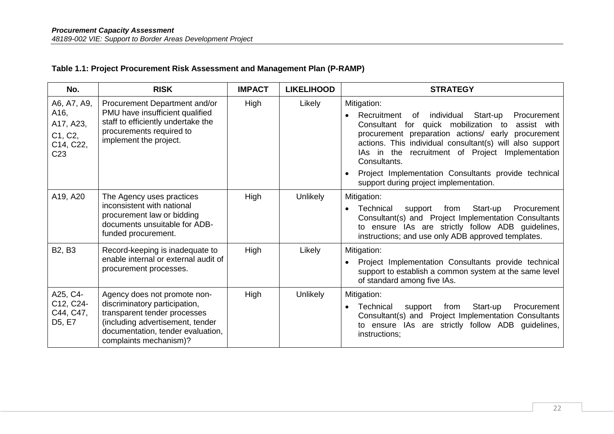# **Table 1.1: Project Procurement Risk Assessment and Management Plan (P-RAMP)**

| No.                                                                         | <b>RISK</b>                                                                                                                                                                                      | <b>IMPACT</b> | <b>LIKELIHOOD</b> | <b>STRATEGY</b>                                                                                                                                                                                                                                                                                                                                                                                                             |
|-----------------------------------------------------------------------------|--------------------------------------------------------------------------------------------------------------------------------------------------------------------------------------------------|---------------|-------------------|-----------------------------------------------------------------------------------------------------------------------------------------------------------------------------------------------------------------------------------------------------------------------------------------------------------------------------------------------------------------------------------------------------------------------------|
| A6, A7, A9,<br>A16,<br>A17, A23,<br>C1, C2,<br>C14, C22,<br>C <sub>23</sub> | Procurement Department and/or<br>PMU have insufficient qualified<br>staff to efficiently undertake the<br>procurements required to<br>implement the project.                                     | High          | Likely            | Mitigation:<br>individual<br>Recruitment<br>Start-up<br>Procurement<br>of<br>Consultant for quick mobilization to<br>assist with<br>procurement preparation actions/ early<br>procurement<br>actions. This individual consultant(s) will also support<br>IAs in the recruitment of Project Implementation<br>Consultants.<br>Project Implementation Consultants provide technical<br>support during project implementation. |
| A19, A20                                                                    | The Agency uses practices<br>inconsistent with national<br>procurement law or bidding<br>documents unsuitable for ADB-<br>funded procurement.                                                    | High          | <b>Unlikely</b>   | Mitigation:<br>Start-up<br>Procurement<br>Technical<br>from<br>support<br>$\bullet$<br>Consultant(s) and Project Implementation Consultants<br>to ensure IAs are strictly follow ADB guidelines,<br>instructions; and use only ADB approved templates.                                                                                                                                                                      |
| B <sub>2</sub> , B <sub>3</sub>                                             | Record-keeping is inadequate to<br>enable internal or external audit of<br>procurement processes.                                                                                                | High          | Likely            | Mitigation:<br>Project Implementation Consultants provide technical<br>support to establish a common system at the same level<br>of standard among five IAs.                                                                                                                                                                                                                                                                |
| A25, C4-<br>C12, C24-<br>C44, C47,<br>D <sub>5</sub> , E <sub>7</sub>       | Agency does not promote non-<br>discriminatory participation,<br>transparent tender processes<br>(including advertisement, tender<br>documentation, tender evaluation,<br>complaints mechanism)? | High          | <b>Unlikely</b>   | Mitigation:<br>Procurement<br>Technical<br>from<br>Start-up<br>support<br>Consultant(s) and Project Implementation Consultants<br>to ensure IAs are strictly follow ADB guidelines,<br>instructions;                                                                                                                                                                                                                        |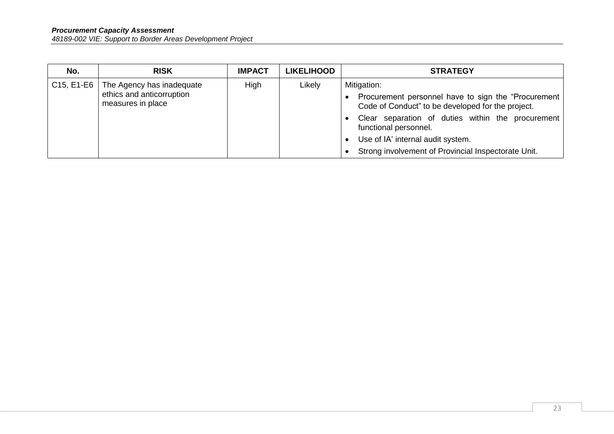| No.                        | <b>RISK</b>                                                                 | <b>IMPACT</b> | <b>LIKELIHOOD</b> | <b>STRATEGY</b>                                                                                                                                                                                                                                                                                     |
|----------------------------|-----------------------------------------------------------------------------|---------------|-------------------|-----------------------------------------------------------------------------------------------------------------------------------------------------------------------------------------------------------------------------------------------------------------------------------------------------|
| $\vert$ C15, E1-E6 $\vert$ | The Agency has inadequate<br>ethics and anticorruption<br>measures in place | High          | Likely            | Mitigation:<br>Procurement personnel have to sign the "Procurement  <br>Code of Conduct" to be developed for the project.<br>Clear separation of duties within the procurement<br>functional personnel.<br>Use of IA' internal audit system.<br>Strong involvement of Provincial Inspectorate Unit. |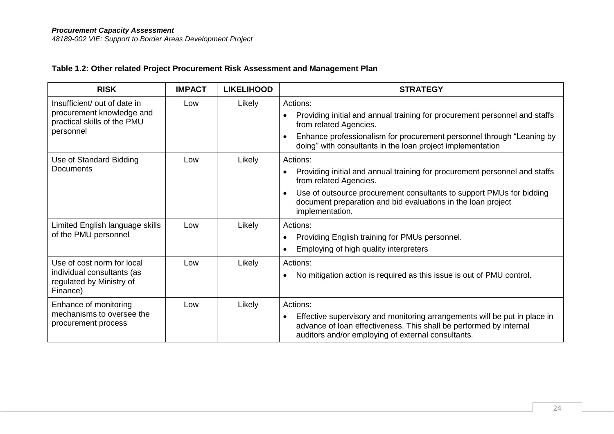# **Table 1.2: Other related Project Procurement Risk Assessment and Management Plan**

| <b>RISK</b>                                                        | <b>IMPACT</b> | <b>LIKELIHOOD</b> | <b>STRATEGY</b>                                                                                                                                                                                                    |
|--------------------------------------------------------------------|---------------|-------------------|--------------------------------------------------------------------------------------------------------------------------------------------------------------------------------------------------------------------|
| Insufficient/ out of date in                                       | Low           | Likely            | Actions:                                                                                                                                                                                                           |
| procurement knowledge and<br>practical skills of the PMU           |               |                   | Providing initial and annual training for procurement personnel and staffs<br>from related Agencies.                                                                                                               |
| personnel                                                          |               |                   | Enhance professionalism for procurement personnel through "Leaning by<br>doing" with consultants in the loan project implementation                                                                                |
| Use of Standard Bidding                                            | Low           | Likely            | Actions:                                                                                                                                                                                                           |
| Documents                                                          |               |                   | Providing initial and annual training for procurement personnel and staffs<br>from related Agencies.                                                                                                               |
|                                                                    |               |                   | Use of outsource procurement consultants to support PMUs for bidding<br>$\bullet$<br>document preparation and bid evaluations in the loan project<br>implementation.                                               |
| Limited English language skills                                    | Low           | Likely            | Actions:                                                                                                                                                                                                           |
| of the PMU personnel                                               |               |                   | Providing English training for PMUs personnel.<br>$\bullet$                                                                                                                                                        |
|                                                                    |               |                   | Employing of high quality interpreters<br>$\bullet$                                                                                                                                                                |
| Use of cost norm for local                                         | Low           | Likely            | Actions:                                                                                                                                                                                                           |
| individual consultants (as<br>regulated by Ministry of<br>Finance) |               |                   | No mitigation action is required as this issue is out of PMU control.<br>$\bullet$                                                                                                                                 |
| Enhance of monitoring                                              | Low           | Likely            | Actions:                                                                                                                                                                                                           |
| mechanisms to oversee the<br>procurement process                   |               |                   | Effective supervisory and monitoring arrangements will be put in place in<br>$\bullet$<br>advance of loan effectiveness. This shall be performed by internal<br>auditors and/or employing of external consultants. |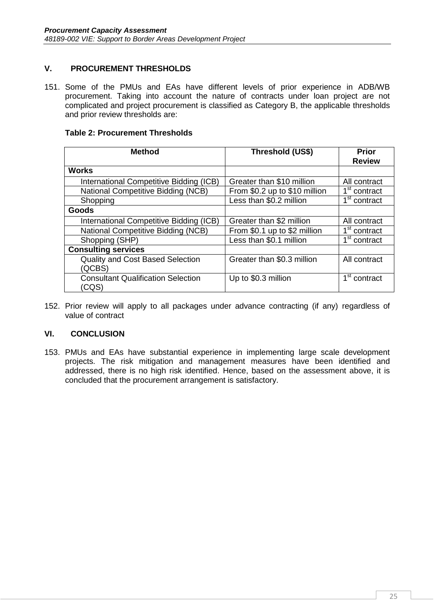# <span id="page-28-0"></span>**V. PROCUREMENT THRESHOLDS**

151. Some of the PMUs and EAs have different levels of prior experience in ADB/WB procurement. Taking into account the nature of contracts under loan project are not complicated and project procurement is classified as Category B, the applicable thresholds and prior review thresholds are:

### **Table 2: Procurement Thresholds**

| <b>Method</b>                             | Threshold (US\$)              | <b>Prior</b><br><b>Review</b> |
|-------------------------------------------|-------------------------------|-------------------------------|
| <b>Works</b>                              |                               |                               |
| International Competitive Bidding (ICB)   | Greater than \$10 million     | All contract                  |
| <b>National Competitive Bidding (NCB)</b> | From \$0.2 up to \$10 million | 1 <sup>st</sup> contract      |
| Shopping                                  | Less than \$0.2 million       | 1 <sup>st</sup> contract      |
| Goods                                     |                               |                               |
| International Competitive Bidding (ICB)   | Greater than \$2 million      | All contract                  |
| National Competitive Bidding (NCB)        | From \$0.1 up to \$2 million  | 1 <sup>st</sup> contract      |
| Shopping (SHP)                            | Less than \$0.1 million       | 1 <sup>st</sup> contract      |
| <b>Consulting services</b>                |                               |                               |
| <b>Quality and Cost Based Selection</b>   | Greater than \$0.3 million    | All contract                  |
| (QCBS)                                    |                               |                               |
| <b>Consultant Qualification Selection</b> | Up to \$0.3 million           | 1 <sup>st</sup> contract      |
| (CQS)                                     |                               |                               |

152. Prior review will apply to all packages under advance contracting (if any) regardless of value of contract

# <span id="page-28-1"></span>**VI. CONCLUSION**

153. PMUs and EAs have substantial experience in implementing large scale development projects. The risk mitigation and management measures have been identified and addressed, there is no high risk identified. Hence, based on the assessment above, it is concluded that the procurement arrangement is satisfactory.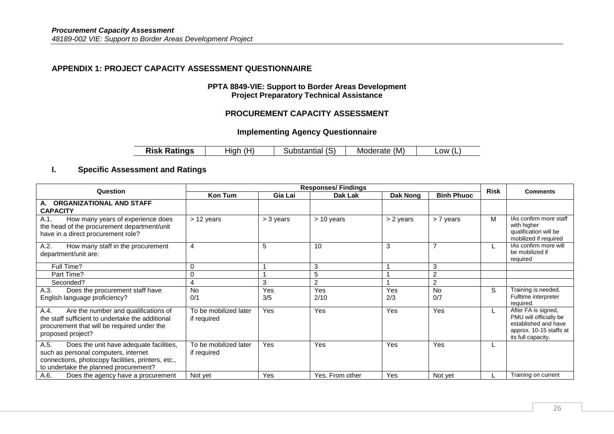## **APPENDIX 1: PROJECT CAPACITY ASSESSMENT QUESTIONNAIRE**

#### **PPTA 8849-VIE: Support to Border Areas Development Project Preparatory Technical Assistance**

## **PROCUREMENT CAPACITY ASSESSMENT**

## **Implementing Agency Questionnaire**

| <b>Risk Ratings</b> | (H)   | (S)         | (M)      | _OW   |
|---------------------|-------|-------------|----------|-------|
|                     | tıah. | Substantıal | Moderate | ' (L. |

# **I. Specific Assessment and Ratings**

<span id="page-29-0"></span>

| Question                                                                                                                                                                               | <b>Responses/Findings</b>            |            |                 |            |                   |             | <b>Comments</b>                                                                                                        |
|----------------------------------------------------------------------------------------------------------------------------------------------------------------------------------------|--------------------------------------|------------|-----------------|------------|-------------------|-------------|------------------------------------------------------------------------------------------------------------------------|
|                                                                                                                                                                                        | Kon Tum                              | Gia Lai    | Dak Lak         | Dak Nong   | <b>Binh Phuoc</b> | <b>Risk</b> |                                                                                                                        |
| A. ORGANIZATIONAL AND STAFF<br><b>CAPACITY</b>                                                                                                                                         |                                      |            |                 |            |                   |             |                                                                                                                        |
| How many years of experience does<br>A.1.<br>the head of the procurement department/unit<br>have in a direct procurement role?                                                         | $> 12$ years                         | > 3 years  | > 10 years      | > 2 years  | > 7 years         | M           | IAs confirm more staff<br>with higher<br>qualification will be<br>mobilized if required                                |
| How many staff in the procurement<br>A.2.<br>department/unit are:                                                                                                                      | $\overline{4}$                       | 5          | 10              | 3          |                   | L           | IAs confirm more will<br>be mobilized if<br>required                                                                   |
| Full Time?                                                                                                                                                                             | 0                                    |            | 3               |            | 3                 |             |                                                                                                                        |
| Part Time?                                                                                                                                                                             | $\mathbf 0$                          |            | 5               |            | $\overline{2}$    |             |                                                                                                                        |
| Seconded?                                                                                                                                                                              | 4                                    | 3          | 2               |            | $\overline{c}$    |             |                                                                                                                        |
| A.3.<br>Does the procurement staff have<br>English language proficiency?                                                                                                               | <b>No</b><br>0/1                     | Yes<br>3/5 | Yes<br>2/10     | Yes<br>2/3 | <b>No</b><br>0/7  | S           | Training is needed.<br>Fulltime interpreter<br>required.                                                               |
| Are the number and qualifications of<br>A.4.<br>the staff sufficient to undertake the additional<br>procurement that will be required under the<br>proposed project?                   | To be mobilized later<br>if required | Yes        | Yes             | Yes        | <b>Yes</b>        | L           | After FA is signed,<br>PMU will officially be<br>established and have<br>approx. 10-15 staffs at<br>its full capacity. |
| Does the unit have adequate facilities,<br>A.5.<br>such as personal computers, internet<br>connections, photocopy facilities, printers, etc.,<br>to undertake the planned procurement? | To be mobilized later<br>if required | <b>Yes</b> | Yes             | Yes        | Yes               | L           |                                                                                                                        |
| A.6.<br>Does the agency have a procurement                                                                                                                                             | Not yet                              | <b>Yes</b> | Yes. From other | Yes        | Not yet           |             | Training on current                                                                                                    |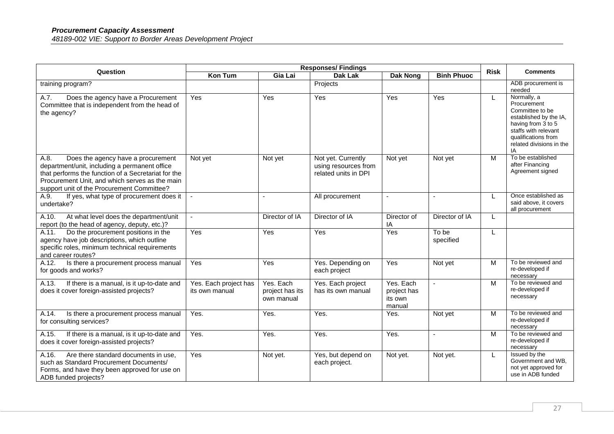| Question                                                                                                                                                                                                                                           | <b>Responses/Findings</b>               |                                            |                                                                    |                                               |                    | <b>Risk</b> | <b>Comments</b>                                                                                                                                                                |
|----------------------------------------------------------------------------------------------------------------------------------------------------------------------------------------------------------------------------------------------------|-----------------------------------------|--------------------------------------------|--------------------------------------------------------------------|-----------------------------------------------|--------------------|-------------|--------------------------------------------------------------------------------------------------------------------------------------------------------------------------------|
|                                                                                                                                                                                                                                                    | <b>Kon Tum</b>                          | Gia Lai                                    | <b>Dak Lak</b>                                                     | <b>Dak Nong</b>                               | <b>Binh Phuoc</b>  |             |                                                                                                                                                                                |
| training program?                                                                                                                                                                                                                                  |                                         |                                            | Projects                                                           |                                               |                    |             | ADB procurement is<br>needed                                                                                                                                                   |
| Does the agency have a Procurement<br>A.7.<br>Committee that is independent from the head of<br>the agency?                                                                                                                                        | Yes                                     | Yes                                        | <b>Yes</b>                                                         | Yes                                           | Yes                | L           | Normally, a<br>Procurement<br>Committee to be<br>established by the IA,<br>having from 3 to 5<br>staffs with relevant<br>qualifications from<br>related divisions in the<br>IA |
| A.8.<br>Does the agency have a procurement<br>department/unit, including a permanent office<br>that performs the function of a Secretariat for the<br>Procurement Unit, and which serves as the main<br>support unit of the Procurement Committee? | Not yet                                 | Not yet                                    | Not yet. Currently<br>using resources from<br>related units in DPI | Not yet                                       | Not yet            | M           | To be established<br>after Financing<br>Agreement signed                                                                                                                       |
| A.9.<br>If yes, what type of procurement does it<br>undertake?                                                                                                                                                                                     | $\blacksquare$                          | $\sim$                                     | All procurement                                                    |                                               |                    |             | Once established as<br>said above, it covers<br>all procurement                                                                                                                |
| A.10.<br>At what level does the department/unit<br>report (to the head of agency, deputy, etc.)?                                                                                                                                                   | $\sim$                                  | Director of IA                             | Director of IA                                                     | Director of<br>ΙA                             | Director of IA     | L           |                                                                                                                                                                                |
| Do the procurement positions in the<br>A.11.<br>agency have job descriptions, which outline<br>specific roles, minimum technical requirements<br>and career routes?                                                                                | Yes                                     | Yes                                        | Yes                                                                | Yes                                           | To be<br>specified | L           |                                                                                                                                                                                |
| A.12.<br>Is there a procurement process manual<br>for goods and works?                                                                                                                                                                             | Yes                                     | Yes                                        | Yes. Depending on<br>each project                                  | Yes                                           | Not yet            | M           | To be reviewed and<br>re-developed if<br>necessary                                                                                                                             |
| A.13.<br>If there is a manual, is it up-to-date and<br>does it cover foreign-assisted projects?                                                                                                                                                    | Yes. Each project has<br>its own manual | Yes, Each<br>project has its<br>own manual | Yes. Each project<br>has its own manual                            | Yes. Each<br>project has<br>its own<br>manual |                    | M           | To be reviewed and<br>re-developed if<br>necessary                                                                                                                             |
| A.14.<br>Is there a procurement process manual<br>for consulting services?                                                                                                                                                                         | Yes.                                    | Yes.                                       | Yes.                                                               | Yes.                                          | Not yet            | M           | To be reviewed and<br>re-developed if<br>necessary                                                                                                                             |
| If there is a manual, is it up-to-date and<br>A.15.<br>does it cover foreign-assisted projects?                                                                                                                                                    | Yes.                                    | Yes.                                       | Yes.                                                               | Yes.                                          |                    | M           | To be reviewed and<br>re-developed if<br>necessary                                                                                                                             |
| Are there standard documents in use,<br>A.16.<br>such as Standard Procurement Documents/<br>Forms, and have they been approved for use on<br>ADB funded projects?                                                                                  | Yes                                     | Not yet.                                   | Yes, but depend on<br>each project.                                | Not yet.                                      | Not yet.           | L           | Issued by the<br>Government and WB,<br>not yet approved for<br>use in ADB funded                                                                                               |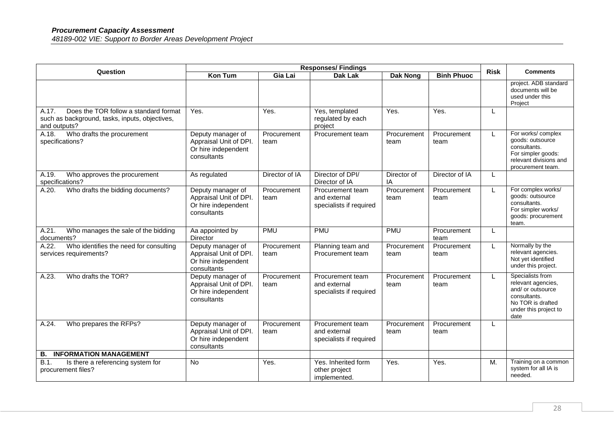| Question                                                                                                         | <b>Responses/Findings</b>                                                         |                     |                                                             |                     |                     | <b>Risk</b> | <b>Comments</b>                                                                                                                   |
|------------------------------------------------------------------------------------------------------------------|-----------------------------------------------------------------------------------|---------------------|-------------------------------------------------------------|---------------------|---------------------|-------------|-----------------------------------------------------------------------------------------------------------------------------------|
|                                                                                                                  | Kon Tum                                                                           | Gia Lai             | <b>Dak Lak</b>                                              | <b>Dak Nong</b>     | <b>Binh Phuoc</b>   |             |                                                                                                                                   |
|                                                                                                                  |                                                                                   |                     |                                                             |                     |                     |             | project. ADB standard<br>documents will be<br>used under this<br>Project                                                          |
| Does the TOR follow a standard format<br>A.17.<br>such as background, tasks, inputs, objectives,<br>and outputs? | Yes.                                                                              | $\overline{Y}$ es.  | Yes, templated<br>regulated by each<br>project              | Yes.                | Yes.                | L           |                                                                                                                                   |
| Who drafts the procurement<br>A.18.<br>specifications?                                                           | Deputy manager of<br>Appraisal Unit of DPI.<br>Or hire independent<br>consultants | Procurement<br>team | Procurement team                                            | Procurement<br>team | Procurement<br>team | L           | For works/complex<br>goods: outsource<br>consultants.<br>For simpler goods:<br>relevant divisions and<br>procurement team.        |
| Who approves the procurement<br>A.19.<br>specifications?                                                         | As regulated                                                                      | Director of IA      | Director of DPI/<br>Director of IA                          | Director of<br>ΙA   | Director of IA      | L           |                                                                                                                                   |
| Who drafts the bidding documents?<br>A.20.                                                                       | Deputy manager of<br>Appraisal Unit of DPI.<br>Or hire independent<br>consultants | Procurement<br>team | Procurement team<br>and external<br>specialists if required | Procurement<br>team | Procurement<br>team | L           | For complex works/<br>goods: outsource<br>consultants.<br>For simpler works/<br>goods: procurement<br>team.                       |
| Who manages the sale of the bidding<br>A.21.<br>documents?                                                       | Aa appointed by<br><b>Director</b>                                                | <b>PMU</b>          | PMU                                                         | <b>PMU</b>          | Procurement<br>team | L           |                                                                                                                                   |
| Who identifies the need for consulting<br>A.22.<br>services requirements?                                        | Deputy manager of<br>Appraisal Unit of DPI.<br>Or hire independent<br>consultants | Procurement<br>team | Planning team and<br>Procurement team                       | Procurement<br>team | Procurement<br>team | L           | Normally by the<br>relevant agencies.<br>Not yet identified<br>under this project.                                                |
| Who drafts the TOR?<br>A.23.                                                                                     | Deputy manager of<br>Appraisal Unit of DPI.<br>Or hire independent<br>consultants | Procurement<br>team | Procurement team<br>and external<br>specialists if required | Procurement<br>team | Procurement<br>team | L           | Specialists from<br>relevant agencies,<br>and/ or outsource<br>consultants.<br>No TOR is drafted<br>under this project to<br>date |
| Who prepares the RFPs?<br>A.24.                                                                                  | Deputy manager of<br>Appraisal Unit of DPI.<br>Or hire independent<br>consultants | Procurement<br>team | Procurement team<br>and external<br>specialists if required | Procurement<br>team | Procurement<br>team | L           |                                                                                                                                   |
| <b>INFORMATION MANAGEMENT</b><br>В.                                                                              |                                                                                   |                     |                                                             |                     |                     |             |                                                                                                                                   |
| B.1.<br>Is there a referencing system for<br>procurement files?                                                  | <b>No</b>                                                                         | Yes.                | Yes. Inherited form<br>other project<br>implemented.        | Yes.                | Yes.                | M.          | Training on a common<br>system for all IA is<br>needed.                                                                           |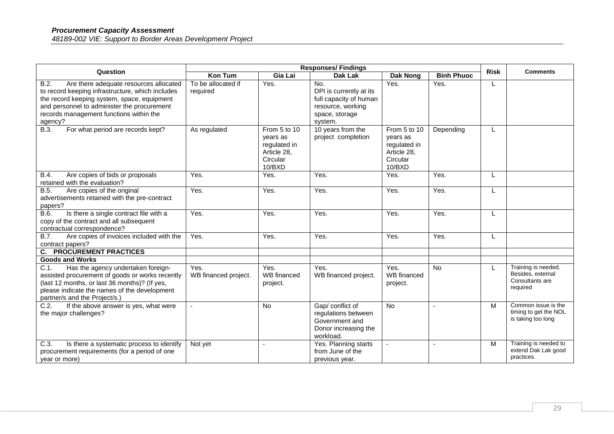| Question                                                                                                                                                                                                                                               | <b>Responses/Findings</b>      |                                                                               |                                                                                                            |                                                                               |                   |             | <b>Comments</b>                                                         |
|--------------------------------------------------------------------------------------------------------------------------------------------------------------------------------------------------------------------------------------------------------|--------------------------------|-------------------------------------------------------------------------------|------------------------------------------------------------------------------------------------------------|-------------------------------------------------------------------------------|-------------------|-------------|-------------------------------------------------------------------------|
|                                                                                                                                                                                                                                                        | <b>Kon Tum</b>                 | Gia Lai                                                                       | <b>Dak Lak</b>                                                                                             | Dak Nong                                                                      | <b>Binh Phuoc</b> | <b>Risk</b> |                                                                         |
| B.2.<br>Are there adequate resources allocated<br>to record keeping infrastructure, which includes<br>the record keeping system, space, equipment<br>and personnel to administer the procurement<br>records management functions within the<br>agency? | To be allocated if<br>required | Yes.                                                                          | No.<br>DPI is currently at its<br>full capacity of human<br>resource, working<br>space, storage<br>system. | Yes.                                                                          | Yes.              | L           |                                                                         |
| For what period are records kept?<br><b>B.3.</b>                                                                                                                                                                                                       | As regulated                   | From 5 to 10<br>years as<br>regulated in<br>Article 28,<br>Circular<br>10/BXD | 10 years from the<br>project completion                                                                    | From 5 to 10<br>years as<br>regulated in<br>Article 28,<br>Circular<br>10/BXD | Depending         | L           |                                                                         |
| Are copies of bids or proposals<br>B.4.<br>retained with the evaluation?                                                                                                                                                                               | Yes.                           | Yes.                                                                          | Yes.                                                                                                       | Yes.                                                                          | Yes.              | L           |                                                                         |
| B.5.<br>Are copies of the original<br>advertisements retained with the pre-contract<br>papers?                                                                                                                                                         | Yes.                           | Yes.                                                                          | Yes.                                                                                                       | Yes.                                                                          | Yes.              | L           |                                                                         |
| Is there a single contract file with a<br>B.6.<br>copy of the contract and all subsequent<br>contractual correspondence?                                                                                                                               | Yes.                           | Yes.                                                                          | Yes.                                                                                                       | Yes.                                                                          | Yes.              | L           |                                                                         |
| <b>B.7.</b><br>Are copies of invoices included with the<br>contract papers?                                                                                                                                                                            | Yes.                           | Yes.                                                                          | Yes.                                                                                                       | Yes.                                                                          | Yes.              |             |                                                                         |
| <b>C. PROCUREMENT PRACTICES</b>                                                                                                                                                                                                                        |                                |                                                                               |                                                                                                            |                                                                               |                   |             |                                                                         |
| <b>Goods and Works</b>                                                                                                                                                                                                                                 |                                |                                                                               |                                                                                                            |                                                                               |                   |             |                                                                         |
| C.1.<br>Has the agency undertaken foreign-<br>assisted procurement of goods or works recently<br>(last 12 months, or last 36 months)? (If yes,<br>please indicate the names of the development<br>partner/s and the Project/s.)                        | Yes.<br>WB financed project.   | Yes.<br><b>WB</b> financed<br>project.                                        | Yes.<br>WB financed project.                                                                               | Yes.<br>WB financed<br>project.                                               | <b>No</b>         |             | Training is needed.<br>Besides, external<br>Consultants are<br>required |
| C.2.<br>If the above answer is yes, what were<br>the major challenges?                                                                                                                                                                                 |                                | No                                                                            | Gap/ conflict of<br>regulations between<br>Government and<br>Donor increasing the<br>workload.             | <b>No</b>                                                                     | $\sim$            | M           | Common issue is the<br>timing to get the NOL<br>is taking too long      |
| C.3.<br>Is there a systematic process to identify<br>procurement requirements (for a period of one<br>year or more)                                                                                                                                    | Not yet                        |                                                                               | Yes. Planning starts<br>from June of the<br>previous year.                                                 |                                                                               |                   | M           | Training is needed to<br>extend Dak Lak good<br>practices.              |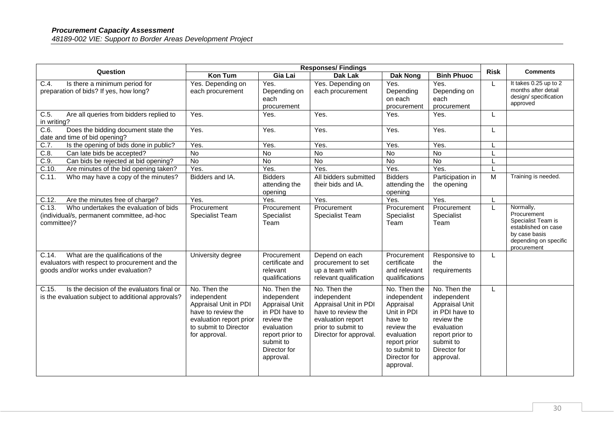| <b>Responses/Findings</b><br>Question                                                                                                 |                                                                                                                                                 |                                                                                                                                                          |                                                                                                                                                 |                                                                                                                                                             | <b>Risk</b>                                                                                                                                                     | <b>Comments</b> |                                                                                                                                |
|---------------------------------------------------------------------------------------------------------------------------------------|-------------------------------------------------------------------------------------------------------------------------------------------------|----------------------------------------------------------------------------------------------------------------------------------------------------------|-------------------------------------------------------------------------------------------------------------------------------------------------|-------------------------------------------------------------------------------------------------------------------------------------------------------------|-----------------------------------------------------------------------------------------------------------------------------------------------------------------|-----------------|--------------------------------------------------------------------------------------------------------------------------------|
|                                                                                                                                       | Kon Tum                                                                                                                                         | Gia Lai                                                                                                                                                  | Dak Lak                                                                                                                                         | Dak Nong                                                                                                                                                    | <b>Binh Phuoc</b>                                                                                                                                               |                 |                                                                                                                                |
| Is there a minimum period for<br>C.4.<br>preparation of bids? If yes, how long?                                                       | Yes. Depending on<br>each procurement                                                                                                           | Yes.<br>Depending on<br>each<br>procurement                                                                                                              | Yes. Depending on<br>each procurement                                                                                                           | Yes.<br>Depending<br>on each<br>procurement                                                                                                                 | Yes.<br>Depending on<br>each<br>procurement                                                                                                                     | L               | It takes 0.25 up to 2<br>months after detail<br>design/ specification<br>approved                                              |
| C.5.<br>Are all queries from bidders replied to<br>in writing?                                                                        | Yes.                                                                                                                                            | Yes.                                                                                                                                                     | Yes.                                                                                                                                            | Yes.                                                                                                                                                        | Yes.                                                                                                                                                            | L               |                                                                                                                                |
| Does the bidding document state the<br>$\overline{C.6}$ .<br>date and time of bid opening?                                            | Yes.                                                                                                                                            | Yes.                                                                                                                                                     | Yes.                                                                                                                                            | Yes.                                                                                                                                                        | Yes.                                                                                                                                                            | L               |                                                                                                                                |
| C.7.<br>Is the opening of bids done in public?                                                                                        | Yes.                                                                                                                                            | Yes.                                                                                                                                                     | Yes.                                                                                                                                            | Yes.                                                                                                                                                        | Yes.                                                                                                                                                            |                 |                                                                                                                                |
| C.8.<br>Can late bids be accepted?                                                                                                    | $\overline{N}$                                                                                                                                  | No                                                                                                                                                       | No                                                                                                                                              | No                                                                                                                                                          | No                                                                                                                                                              |                 |                                                                                                                                |
| $\overline{C.9}$ .<br>Can bids be rejected at bid opening?                                                                            | $\overline{N}$                                                                                                                                  | $\overline{N}$                                                                                                                                           | No                                                                                                                                              | $\overline{N}$                                                                                                                                              | No                                                                                                                                                              |                 |                                                                                                                                |
| $C.10$ .<br>Are minutes of the bid opening taken?                                                                                     | Yes.                                                                                                                                            | Yes.                                                                                                                                                     | Yes.                                                                                                                                            | Yes.                                                                                                                                                        | Yes.                                                                                                                                                            |                 |                                                                                                                                |
| C.11.<br>Who may have a copy of the minutes?                                                                                          | Bidders and IA.                                                                                                                                 | <b>Bidders</b><br>attending the<br>opening                                                                                                               | All bidders submitted<br>their bids and IA.                                                                                                     | <b>Bidders</b><br>attending the<br>opening                                                                                                                  | Participation in<br>the opening                                                                                                                                 | $\overline{M}$  | Training is needed.                                                                                                            |
| C.12.<br>Are the minutes free of charge?                                                                                              | Yes.                                                                                                                                            | Yes.                                                                                                                                                     | Yes.                                                                                                                                            | Yes.                                                                                                                                                        | Yes.                                                                                                                                                            |                 |                                                                                                                                |
| C.13.<br>Who undertakes the evaluation of bids<br>(individual/s, permanent committee, ad-hoc<br>committee)?                           | Procurement<br>Specialist Team                                                                                                                  | Procurement<br>Specialist<br>Team                                                                                                                        | Procurement<br>Specialist Team                                                                                                                  | Procurement<br>Specialist<br>Team                                                                                                                           | Procurement<br>Specialist<br>Team                                                                                                                               |                 | Normally,<br>Procurement<br>Specialist Team is<br>established on case<br>by case basis<br>depending on specific<br>procurement |
| What are the qualifications of the<br>C.14.<br>evaluators with respect to procurement and the<br>goods and/or works under evaluation? | University degree                                                                                                                               | Procurement<br>certificate and<br>relevant<br>qualifications                                                                                             | Depend on each<br>procurement to set<br>up a team with<br>relevant qualification                                                                | Procurement<br>certificate<br>and relevant<br>qualifications                                                                                                | Responsive to<br>the<br>requirements                                                                                                                            | L               |                                                                                                                                |
| Is the decision of the evaluators final or<br>C.15.<br>is the evaluation subject to additional approvals?                             | No. Then the<br>independent<br>Appraisal Unit in PDI<br>have to review the<br>evaluation report prior<br>to submit to Director<br>for approval. | No. Then the<br>independent<br>Appraisal Unit<br>in PDI have to<br>review the<br>evaluation<br>report prior to<br>submit to<br>Director for<br>approval. | No. Then the<br>independent<br>Appraisal Unit in PDI<br>have to review the<br>evaluation report<br>prior to submit to<br>Director for approval. | No. Then the<br>independent<br>Appraisal<br>Unit in PDI<br>have to<br>review the<br>evaluation<br>report prior<br>to submit to<br>Director for<br>approval. | No. Then the<br>independent<br><b>Appraisal Unit</b><br>in PDI have to<br>review the<br>evaluation<br>report prior to<br>submit to<br>Director for<br>approval. | L               |                                                                                                                                |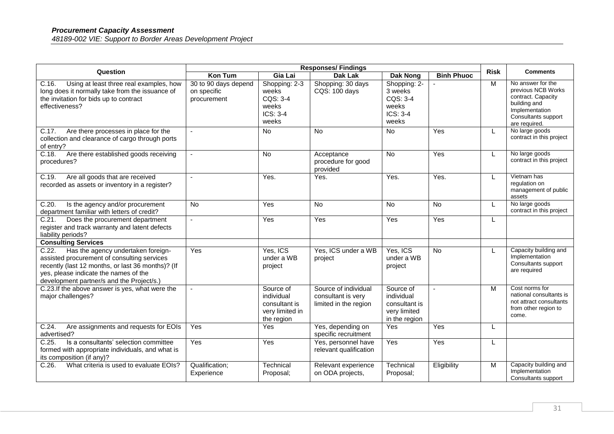| Question                                                                                                                                                                                                                              | <b>Responses/Findings</b>                          |                                                                           |                                                                     | <b>Risk</b>                                                               | <b>Comments</b>   |   |                                                                                                                                         |
|---------------------------------------------------------------------------------------------------------------------------------------------------------------------------------------------------------------------------------------|----------------------------------------------------|---------------------------------------------------------------------------|---------------------------------------------------------------------|---------------------------------------------------------------------------|-------------------|---|-----------------------------------------------------------------------------------------------------------------------------------------|
|                                                                                                                                                                                                                                       | <b>Kon Tum</b>                                     | Gia Lai                                                                   | <b>Dak Lak</b>                                                      | <b>Dak Nong</b>                                                           | <b>Binh Phuoc</b> |   |                                                                                                                                         |
| C.16.<br>Using at least three real examples, how<br>long does it normally take from the issuance of<br>the invitation for bids up to contract<br>effectiveness?                                                                       | 30 to 90 days depend<br>on specific<br>procurement | Shopping: 2-3<br>weeks<br>$COS: 3-4$<br>weeks<br>$ICS: 3-4$<br>weeks      | Shopping: 30 days<br>CQS: 100 days                                  | Shopping: 2-<br>3 weeks<br>CQS: 3-4<br>weeks<br>ICS: 3-4<br>weeks         |                   | M | No answer for the<br>previous NCB Works<br>contract. Capacity<br>building and<br>Implementation<br>Consultants support<br>are required. |
| Are there processes in place for the<br>C.17.<br>collection and clearance of cargo through ports<br>of entry?                                                                                                                         |                                                    | <b>No</b>                                                                 | <b>No</b>                                                           | <b>No</b>                                                                 | Yes               | L | No large goods<br>contract in this project                                                                                              |
| Are there established goods receiving<br>C.18.<br>procedures?                                                                                                                                                                         |                                                    | <b>No</b>                                                                 | Acceptance<br>procedure for good<br>provided                        | <b>No</b>                                                                 | Yes               | L | No large goods<br>contract in this project                                                                                              |
| $C.\overline{19}$ .<br>Are all goods that are received<br>recorded as assets or inventory in a register?                                                                                                                              |                                                    | Yes.                                                                      | Yes.                                                                | Yes.                                                                      | Yes.              | L | Vietnam has<br>regulation on<br>management of public<br>assets                                                                          |
| C.20.<br>Is the agency and/or procurement<br>department familiar with letters of credit?                                                                                                                                              | No                                                 | Yes                                                                       | No                                                                  | <b>No</b>                                                                 | No                |   | No large goods<br>contract in this project                                                                                              |
| Does the procurement department<br>C.21.<br>register and track warranty and latent defects<br>liability periods?                                                                                                                      |                                                    | Yes                                                                       | Yes                                                                 | Yes                                                                       | Yes               | L |                                                                                                                                         |
| <b>Consulting Services</b>                                                                                                                                                                                                            |                                                    |                                                                           |                                                                     |                                                                           |                   |   |                                                                                                                                         |
| Has the agency undertaken foreign-<br>C.22.<br>assisted procurement of consulting services<br>recently (last 12 months, or last 36 months)? (If<br>yes, please indicate the names of the<br>development partner/s and the Project/s.) | Yes                                                | Yes, ICS<br>under a WB<br>project                                         | Yes, ICS under a WB<br>project                                      | Yes, ICS<br>under a WB<br>project                                         | <b>No</b>         | L | Capacity building and<br>Implementation<br>Consultants support<br>are required                                                          |
| C.23. If the above answer is yes, what were the<br>major challenges?                                                                                                                                                                  |                                                    | Source of<br>individual<br>consultant is<br>very limited in<br>the region | Source of individual<br>consultant is very<br>limited in the region | Source of<br>individual<br>consultant is<br>very limited<br>in the region |                   | M | Cost norms for<br>national consultants is<br>not attract consultants<br>from other region to<br>come.                                   |
| C.24.<br>Are assignments and requests for EOIs<br>advertised?                                                                                                                                                                         | Yes                                                | Yes                                                                       | Yes, depending on<br>specific recruitment                           | Yes                                                                       | Yes               | L |                                                                                                                                         |
| Is a consultants' selection committee<br>C.25.<br>formed with appropriate individuals, and what is<br>its composition (if any)?                                                                                                       | Yes                                                | Yes                                                                       | Yes, personnel have<br>relevant qualification                       | Yes                                                                       | Yes               |   |                                                                                                                                         |
| What criteria is used to evaluate EOIs?<br>C.26.                                                                                                                                                                                      | Qualification;<br>Experience                       | Technical<br>Proposal;                                                    | Relevant experience<br>on ODA projects,                             | Technical<br>Proposal;                                                    | Eligibility       | M | Capacity building and<br>Implementation<br>Consultants support                                                                          |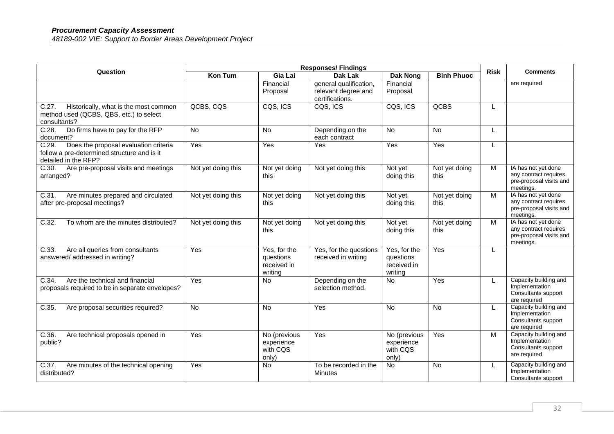| Question                                                                                                              | <b>Responses/Findings</b> |                                                     |                                                                  |                                                     | <b>Risk</b>           | <b>Comments</b> |                                                                                      |
|-----------------------------------------------------------------------------------------------------------------------|---------------------------|-----------------------------------------------------|------------------------------------------------------------------|-----------------------------------------------------|-----------------------|-----------------|--------------------------------------------------------------------------------------|
|                                                                                                                       | <b>Kon Tum</b>            | Gia Lai                                             | Dak Lak                                                          | <b>Dak Nong</b>                                     | <b>Binh Phuoc</b>     |                 |                                                                                      |
|                                                                                                                       |                           | Financial<br>Proposal                               | general qualification,<br>relevant degree and<br>certifications. | Financial<br>Proposal                               |                       |                 | are required                                                                         |
| Historically, what is the most common<br>C.27.<br>method used (QCBS, QBS, etc.) to select<br>consultants?             | QCBS, CQS                 | CQS, ICS                                            | CQS, ICS                                                         | CQS, ICS                                            | QCBS                  | L               |                                                                                      |
| Do firms have to pay for the RFP<br>C.28.<br>document?                                                                | $\overline{N}$            | N <sub>o</sub>                                      | Depending on the<br>each contract                                | $\overline{N}$                                      | No                    | L               |                                                                                      |
| C.29.<br>Does the proposal evaluation criteria<br>follow a pre-determined structure and is it<br>detailed in the RFP? | Yes                       | Yes                                                 | Yes                                                              | Yes                                                 | Yes                   | L               |                                                                                      |
| Are pre-proposal visits and meetings<br>C.30.<br>arranged?                                                            | Not yet doing this        | Not yet doing<br>this                               | Not yet doing this                                               | Not yet<br>doing this                               | Not yet doing<br>this | $\overline{M}$  | IA has not yet done<br>any contract requires<br>pre-proposal visits and<br>meetings. |
| C.31.<br>Are minutes prepared and circulated<br>after pre-proposal meetings?                                          | Not yet doing this        | Not yet doing<br>this                               | Not yet doing this                                               | Not yet<br>doing this                               | Not yet doing<br>this | M               | IA has not yet done<br>any contract requires<br>pre-proposal visits and<br>meetings. |
| C.32.<br>To whom are the minutes distributed?                                                                         | Not yet doing this        | Not yet doing<br>this                               | Not yet doing this                                               | Not yet<br>doing this                               | Not yet doing<br>this | M               | IA has not yet done<br>any contract requires<br>pre-proposal visits and<br>meetings. |
| Are all queries from consultants<br>C.33.<br>answered/addressed in writing?                                           | Yes                       | Yes, for the<br>questions<br>received in<br>writing | Yes, for the questions<br>received in writing                    | Yes, for the<br>questions<br>received in<br>writing | Yes                   | L               |                                                                                      |
| C.34.<br>Are the technical and financial<br>proposals required to be in separate envelopes?                           | Yes                       | <b>No</b>                                           | Depending on the<br>selection method.                            | No                                                  | Yes                   | L               | Capacity building and<br>Implementation<br>Consultants support<br>are required       |
| Are proposal securities required?<br>C.35.                                                                            | No                        | No                                                  | Yes                                                              | No                                                  | No                    | L               | Capacity building and<br>Implementation<br>Consultants support<br>are required       |
| C.36.<br>Are technical proposals opened in<br>public?                                                                 | Yes                       | No (previous<br>experience<br>with CQS<br>only)     | Yes                                                              | No (previous<br>experience<br>with CQS<br>only)     | Yes                   | M               | Capacity building and<br>Implementation<br>Consultants support<br>are required       |
| C.37.<br>Are minutes of the technical opening<br>distributed?                                                         | Yes                       | No                                                  | To be recorded in the<br>Minutes                                 | No                                                  | No                    | L               | Capacity building and<br>Implementation<br>Consultants support                       |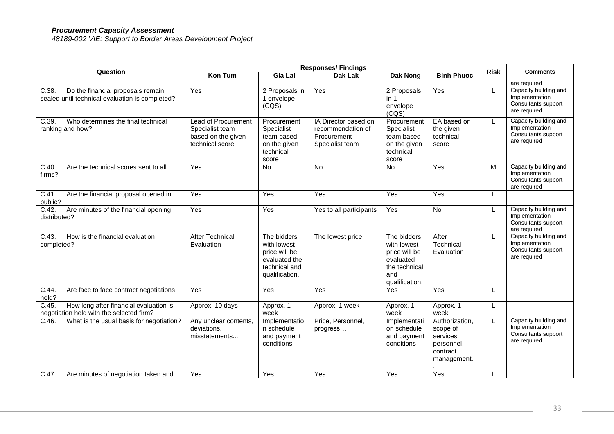| Question                                                                                      | <b>Responses/Findings</b>                                                              |                                                                                                 |                                                                             |                                                                                                    | <b>Risk</b>                                                                     |   |                                                                                |
|-----------------------------------------------------------------------------------------------|----------------------------------------------------------------------------------------|-------------------------------------------------------------------------------------------------|-----------------------------------------------------------------------------|----------------------------------------------------------------------------------------------------|---------------------------------------------------------------------------------|---|--------------------------------------------------------------------------------|
|                                                                                               | Kon Tum                                                                                | Gia Lai                                                                                         | <b>Dak Lak</b>                                                              | Dak Nong                                                                                           | <b>Binh Phuoc</b>                                                               |   | <b>Comments</b>                                                                |
|                                                                                               |                                                                                        |                                                                                                 |                                                                             |                                                                                                    |                                                                                 |   | are required                                                                   |
| Do the financial proposals remain<br>C.38.<br>sealed until technical evaluation is completed? | Yes                                                                                    | 2 Proposals in<br>1 envelope<br>(CQS)                                                           | Yes                                                                         | 2 Proposals<br>in 1<br>envelope<br>(CQS)                                                           | Yes                                                                             | L | Capacity building and<br>Implementation<br>Consultants support<br>are required |
| C.39.<br>Who determines the final technical<br>ranking and how?                               | <b>Lead of Procurement</b><br>Specialist team<br>based on the given<br>technical score | Procurement<br>Specialist<br>team based<br>on the given<br>technical<br>score                   | IA Director based on<br>recommendation of<br>Procurement<br>Specialist team | Procurement<br>Specialist<br>team based<br>on the given<br>technical<br>score                      | EA based on<br>the given<br>technical<br>score                                  | L | Capacity building and<br>Implementation<br>Consultants support<br>are required |
| C.40.<br>Are the technical scores sent to all<br>firms?                                       | Yes                                                                                    | No                                                                                              | $\overline{N}$                                                              | No                                                                                                 | Yes                                                                             | M | Capacity building and<br>Implementation<br>Consultants support<br>are required |
| C.41.<br>Are the financial proposal opened in<br>public?                                      | $\overline{Y}$ es                                                                      | Yes                                                                                             | Yes                                                                         | Yes                                                                                                | Yes                                                                             | L |                                                                                |
| C.42.<br>Are minutes of the financial opening<br>distributed?                                 | Yes                                                                                    | Yes                                                                                             | Yes to all participants                                                     | Yes                                                                                                | No                                                                              | L | Capacity building and<br>Implementation<br>Consultants support<br>are required |
| How is the financial evaluation<br>C.43.<br>completed?                                        | <b>After Technical</b><br>Evaluation                                                   | The bidders<br>with lowest<br>price will be<br>evaluated the<br>technical and<br>qualification. | The lowest price                                                            | The bidders<br>with lowest<br>price will be<br>evaluated<br>the technical<br>and<br>qualification. | After<br>Technical<br>Evaluation                                                | L | Capacity building and<br>Implementation<br>Consultants support<br>are required |
| $C.44$ .<br>Are face to face contract negotiations<br>held?                                   | Yes                                                                                    | Yes                                                                                             | Yes                                                                         | Yes                                                                                                | Yes                                                                             | L |                                                                                |
| C.45.<br>How long after financial evaluation is<br>negotiation held with the selected firm?   | Approx. 10 days                                                                        | Approx. 1<br>week                                                                               | Approx. 1 week                                                              | Approx. 1<br>week                                                                                  | Approx. 1<br>week                                                               | L |                                                                                |
| C.46<br>What is the usual basis for negotiation?                                              | Any unclear contents,<br>deviations,<br>misstatements                                  | Implementatio<br>n schedule<br>and payment<br>conditions                                        | Price, Personnel,<br>progress                                               | Implementati<br>on schedule<br>and payment<br>conditions                                           | Authorization,<br>scope of<br>services,<br>personnel,<br>contract<br>management |   | Capacity building and<br>Implementation<br>Consultants support<br>are required |
| C.47.<br>Are minutes of negotiation taken and                                                 | Yes                                                                                    | Yes                                                                                             | Yes                                                                         | Yes                                                                                                | Yes                                                                             |   |                                                                                |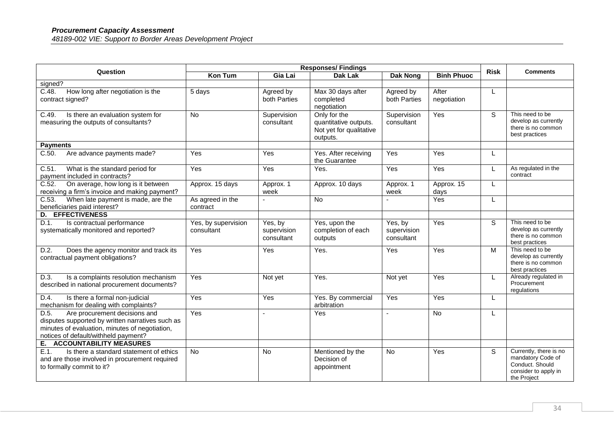| Question                                                                                                                                                                            | <b>Responses/Findings</b>         |                                      |                                                                              |                                      | <b>Risk</b>          | <b>Comments</b> |                                                                                                       |
|-------------------------------------------------------------------------------------------------------------------------------------------------------------------------------------|-----------------------------------|--------------------------------------|------------------------------------------------------------------------------|--------------------------------------|----------------------|-----------------|-------------------------------------------------------------------------------------------------------|
|                                                                                                                                                                                     | <b>Kon Tum</b>                    | Gia Lai                              | <b>Dak Lak</b>                                                               | <b>Dak Nong</b>                      | <b>Binh Phuoc</b>    |                 |                                                                                                       |
| signed?                                                                                                                                                                             |                                   |                                      |                                                                              |                                      |                      |                 |                                                                                                       |
| C.48.<br>How long after negotiation is the<br>contract signed?                                                                                                                      | 5 days                            | Agreed by<br>both Parties            | Max 30 days after<br>completed<br>negotiation                                | Agreed by<br>both Parties            | After<br>negotiation | L               |                                                                                                       |
| Is there an evaluation system for<br>C.49.<br>measuring the outputs of consultants?                                                                                                 | No                                | Supervision<br>consultant            | Only for the<br>quantitative outputs.<br>Not yet for qualitative<br>outputs. | Supervision<br>consultant            | Yes                  | S               | This need to be<br>develop as currently<br>there is no common<br>best practices                       |
| <b>Payments</b>                                                                                                                                                                     |                                   |                                      |                                                                              |                                      |                      |                 |                                                                                                       |
| C.50.<br>Are advance payments made?                                                                                                                                                 | Yes                               | Yes                                  | Yes. After receiving<br>the Guarantee                                        | Yes                                  | Yes                  | L               |                                                                                                       |
| What is the standard period for<br>C.51.<br>payment included in contracts?                                                                                                          | Yes                               | Yes                                  | Yes.                                                                         | Yes                                  | Yes                  |                 | As regulated in the<br>contract                                                                       |
| On average, how long is it between<br>C.52.<br>receiving a firm's invoice and making payment?                                                                                       | Approx. 15 days                   | Approx. 1<br>week                    | Approx. 10 days                                                              | Approx. 1<br>week                    | Approx. 15<br>days   | L               |                                                                                                       |
| C.53.<br>When late payment is made, are the<br>beneficiaries paid interest?                                                                                                         | As agreed in the<br>contract      |                                      | <b>No</b>                                                                    |                                      | Yes                  | L               |                                                                                                       |
| <b>D. EFFECTIVENESS</b>                                                                                                                                                             |                                   |                                      |                                                                              |                                      |                      |                 |                                                                                                       |
| D.1.<br>Is contractual performance<br>systematically monitored and reported?                                                                                                        | Yes, by supervision<br>consultant | Yes, by<br>supervision<br>consultant | Yes, upon the<br>completion of each<br>outputs                               | Yes, by<br>supervision<br>consultant | Yes                  | S               | This need to be<br>develop as currently<br>there is no common<br>best practices                       |
| D.2.<br>Does the agency monitor and track its<br>contractual payment obligations?                                                                                                   | Yes                               | Yes                                  | Yes.                                                                         | Yes                                  | Yes                  | M               | This need to be<br>develop as currently<br>there is no common<br>best practices                       |
| Is a complaints resolution mechanism<br>D.3.<br>described in national procurement documents?                                                                                        | Yes                               | Not yet                              | Yes.                                                                         | Not yet                              | Yes                  | L               | Already regulated in<br>Procurement<br>regulations                                                    |
| D.4.<br>Is there a formal non-judicial<br>mechanism for dealing with complaints?                                                                                                    | Yes                               | Yes                                  | Yes. By commercial<br>arbitration                                            | Yes                                  | Yes                  | L               |                                                                                                       |
| D.5.<br>Are procurement decisions and<br>disputes supported by written narratives such as<br>minutes of evaluation, minutes of negotiation,<br>notices of default/withheld payment? | Yes                               |                                      | Yes                                                                          |                                      | <b>No</b>            | L               |                                                                                                       |
| E. ACCOUNTABILITY MEASURES                                                                                                                                                          |                                   |                                      |                                                                              |                                      |                      |                 |                                                                                                       |
| E.1.<br>Is there a standard statement of ethics<br>and are those involved in procurement required<br>to formally commit to it?                                                      | No                                | <b>No</b>                            | Mentioned by the<br>Decision of<br>appointment                               | <b>No</b>                            | Yes                  | <sub>S</sub>    | Currently, there is no<br>mandatory Code of<br>Conduct. Should<br>consider to apply in<br>the Project |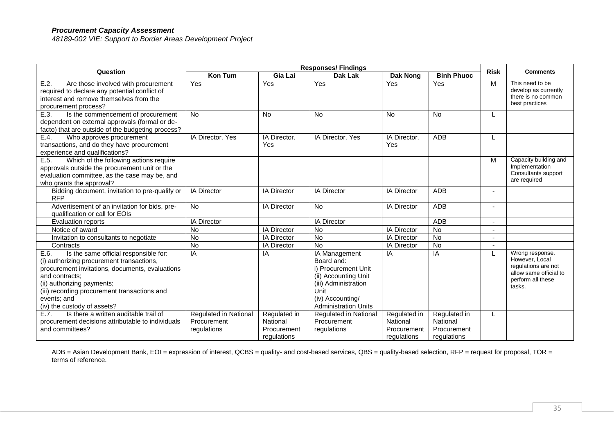#### *Procurement Capacity Assessment 48189-002 VIE: Support to Border Areas Development Project*

| <b>Responses/Findings</b><br>Question                                                                                                                                                                                                                                                       |                                                     |                                                        |                                                                                                                                                               |                                                        | <b>Risk</b>                                            |   |                                                                                                                   |
|---------------------------------------------------------------------------------------------------------------------------------------------------------------------------------------------------------------------------------------------------------------------------------------------|-----------------------------------------------------|--------------------------------------------------------|---------------------------------------------------------------------------------------------------------------------------------------------------------------|--------------------------------------------------------|--------------------------------------------------------|---|-------------------------------------------------------------------------------------------------------------------|
|                                                                                                                                                                                                                                                                                             | <b>Kon Tum</b>                                      | Gia Lai                                                | <b>Dak Lak</b>                                                                                                                                                | <b>Dak Nong</b>                                        | <b>Binh Phuoc</b>                                      |   | <b>Comments</b>                                                                                                   |
| E.2.<br>Are those involved with procurement<br>required to declare any potential conflict of<br>interest and remove themselves from the<br>procurement process?                                                                                                                             | Yes                                                 | Yes                                                    | Yes                                                                                                                                                           | Yes                                                    | Yes                                                    | M | This need to be<br>develop as currently<br>there is no common<br>best practices                                   |
| E.3.<br>Is the commencement of procurement<br>dependent on external approvals (formal or de-<br>facto) that are outside of the budgeting process?                                                                                                                                           | No                                                  | No                                                     | <b>No</b>                                                                                                                                                     | <b>No</b>                                              | No                                                     | L |                                                                                                                   |
| E.4.<br>Who approves procurement<br>transactions, and do they have procurement<br>experience and qualifications?                                                                                                                                                                            | IA Director, Yes                                    | IA Director.<br>Yes                                    | IA Director, Yes                                                                                                                                              | IA Director.<br>Yes                                    | ADB                                                    |   |                                                                                                                   |
| E.5.<br>Which of the following actions require<br>approvals outside the procurement unit or the<br>evaluation committee, as the case may be, and<br>who grants the approval?                                                                                                                |                                                     |                                                        |                                                                                                                                                               |                                                        |                                                        | M | Capacity building and<br>Implementation<br>Consultants support<br>are required                                    |
| Bidding document, invitation to pre-qualify or<br><b>RFP</b>                                                                                                                                                                                                                                | <b>IA Director</b>                                  | <b>IA Director</b>                                     | <b>IA Director</b>                                                                                                                                            | IA Director                                            | <b>ADB</b>                                             |   |                                                                                                                   |
| Advertisement of an invitation for bids, pre-<br>qualification or call for EOIs                                                                                                                                                                                                             | $\overline{N}$                                      | <b>IA Director</b>                                     | No                                                                                                                                                            | IA Director                                            | <b>ADB</b>                                             |   |                                                                                                                   |
| <b>Evaluation reports</b>                                                                                                                                                                                                                                                                   | <b>IA Director</b>                                  |                                                        | <b>IA Director</b>                                                                                                                                            |                                                        | <b>ADB</b>                                             |   |                                                                                                                   |
| Notice of award                                                                                                                                                                                                                                                                             | No                                                  | IA Director                                            | <b>No</b>                                                                                                                                                     | IA Director                                            | No                                                     |   |                                                                                                                   |
| Invitation to consultants to negotiate                                                                                                                                                                                                                                                      | <b>No</b>                                           | <b>IA Director</b>                                     | <b>No</b>                                                                                                                                                     | IA Director                                            | $\overline{N}$                                         |   |                                                                                                                   |
| Contracts                                                                                                                                                                                                                                                                                   | No                                                  | <b>IA Director</b>                                     | <b>No</b>                                                                                                                                                     | <b>IA Director</b>                                     | <b>No</b>                                              |   |                                                                                                                   |
| Is the same official responsible for:<br>E.6.<br>(i) authorizing procurement transactions,<br>procurement invitations, documents, evaluations<br>and contracts:<br>(ii) authorizing payments;<br>(iii) recording procurement transactions and<br>events; and<br>(iv) the custody of assets? | IA                                                  | IA                                                     | IA Management<br>Board and:<br>i) Procurement Unit<br>(ii) Accounting Unit<br>(iii) Administration<br>Unit<br>(iv) Accounting/<br><b>Administration Units</b> | IA                                                     | IA                                                     |   | Wrong response.<br>However, Local<br>regulations are not<br>allow same official to<br>perform all these<br>tasks. |
| E.7.<br>Is there a written auditable trail of<br>procurement decisions attributable to individuals<br>and committees?                                                                                                                                                                       | Regulated in National<br>Procurement<br>regulations | Regulated in<br>National<br>Procurement<br>regulations | Regulated in National<br>Procurement<br>regulations                                                                                                           | Regulated in<br>National<br>Procurement<br>regulations | Regulated in<br>National<br>Procurement<br>regulations |   |                                                                                                                   |

ADB = Asian Development Bank, EOI = expression of interest, QCBS = quality- and cost-based services, QBS = quality-based selection, RFP = request for proposal, TOR = terms of reference.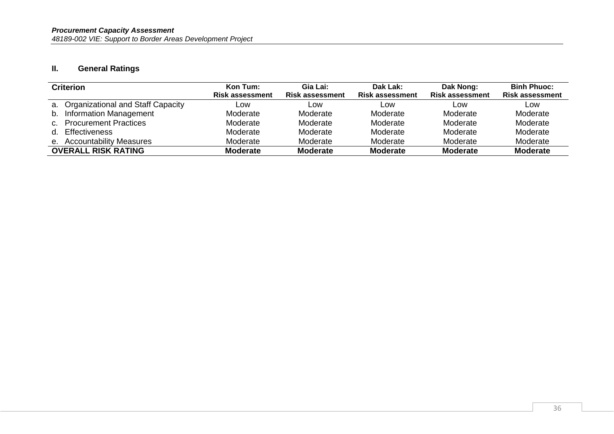# **II. General Ratings**

| <b>Criterion</b>                     | Kon Tum:               | Gia Lai:               | Dak Lak:               | Dak Nong:              | <b>Binh Phuoc:</b>     |
|--------------------------------------|------------------------|------------------------|------------------------|------------------------|------------------------|
|                                      | <b>Risk assessment</b> | <b>Risk assessment</b> | <b>Risk assessment</b> | <b>Risk assessment</b> | <b>Risk assessment</b> |
| a. Organizational and Staff Capacity | Low                    | Low                    | Low                    | Low                    | Low                    |
| b. Information Management            | Moderate               | Moderate               | Moderate               | Moderate               | Moderate               |
| c. Procurement Practices             | Moderate               | Moderate               | Moderate               | Moderate               | Moderate               |
| d. Effectiveness                     | Moderate               | Moderate               | Moderate               | Moderate               | Moderate               |
| e. Accountability Measures           | Moderate               | Moderate               | Moderate               | Moderate               | Moderate               |
| <b>OVERALL RISK RATING</b>           | <b>Moderate</b>        | <b>Moderate</b>        | <b>Moderate</b>        | <b>Moderate</b>        | <b>Moderate</b>        |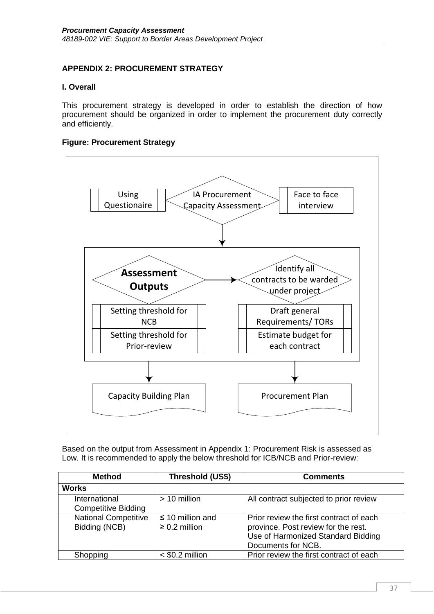# <span id="page-40-0"></span>**APPENDIX 2: PROCUREMENT STRATEGY**

#### **I. Overall**

This procurement strategy is developed in order to establish the direction of how procurement should be organized in order to implement the procurement duty correctly and efficiently.

#### **Figure: Procurement Strategy**



Based on the output from Assessment in Appendix 1: Procurement Risk is assessed as Low. It is recommended to apply the below threshold for ICB/NCB and Prior-review:

| <b>Method</b><br>Threshold (US\$)            |                                             | <b>Comments</b>                                                                                                                            |
|----------------------------------------------|---------------------------------------------|--------------------------------------------------------------------------------------------------------------------------------------------|
| <b>Works</b>                                 |                                             |                                                                                                                                            |
| International<br><b>Competitive Bidding</b>  | $> 10$ million                              | All contract subjected to prior review                                                                                                     |
| <b>National Competitive</b><br>Bidding (NCB) | $\leq$ 10 million and<br>$\geq 0.2$ million | Prior review the first contract of each<br>province. Post review for the rest.<br>Use of Harmonized Standard Bidding<br>Documents for NCB. |
| Shopping                                     | $<$ \$0.2 million                           | Prior review the first contract of each                                                                                                    |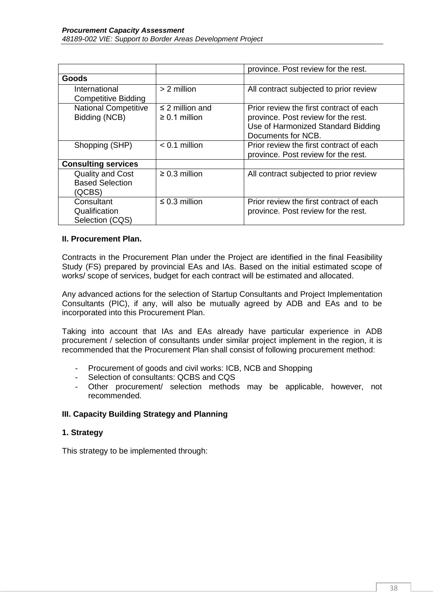|                                                             |                                            | province. Post review for the rest.                                                                                                        |  |  |  |
|-------------------------------------------------------------|--------------------------------------------|--------------------------------------------------------------------------------------------------------------------------------------------|--|--|--|
| <b>Goods</b>                                                |                                            |                                                                                                                                            |  |  |  |
| International<br><b>Competitive Bidding</b>                 | $> 2$ million                              | All contract subjected to prior review                                                                                                     |  |  |  |
| <b>National Competitive</b><br>Bidding (NCB)                | $\leq$ 2 million and<br>$\geq 0.1$ million | Prior review the first contract of each<br>province. Post review for the rest.<br>Use of Harmonized Standard Bidding<br>Documents for NCB. |  |  |  |
| Shopping (SHP)                                              | $< 0.1$ million                            | Prior review the first contract of each<br>province. Post review for the rest.                                                             |  |  |  |
| <b>Consulting services</b>                                  |                                            |                                                                                                                                            |  |  |  |
| <b>Quality and Cost</b><br><b>Based Selection</b><br>(QCBS) | $\geq 0.3$ million                         | All contract subjected to prior review                                                                                                     |  |  |  |
| Consultant<br>Qualification<br>Selection (CQS)              | $\leq$ 0.3 million                         | Prior review the first contract of each<br>province. Post review for the rest.                                                             |  |  |  |

## **II. Procurement Plan.**

Contracts in the Procurement Plan under the Project are identified in the final Feasibility Study (FS) prepared by provincial EAs and IAs. Based on the initial estimated scope of works/ scope of services, budget for each contract will be estimated and allocated.

Any advanced actions for the selection of Startup Consultants and Project Implementation Consultants (PIC), if any, will also be mutually agreed by ADB and EAs and to be incorporated into this Procurement Plan.

Taking into account that IAs and EAs already have particular experience in ADB procurement / selection of consultants under similar project implement in the region, it is recommended that the Procurement Plan shall consist of following procurement method:

- Procurement of goods and civil works: ICB, NCB and Shopping
- Selection of consultants: QCBS and CQS
- Other procurement/ selection methods may be applicable, however, not recommended.

## **III. Capacity Building Strategy and Planning**

#### **1. Strategy**

This strategy to be implemented through: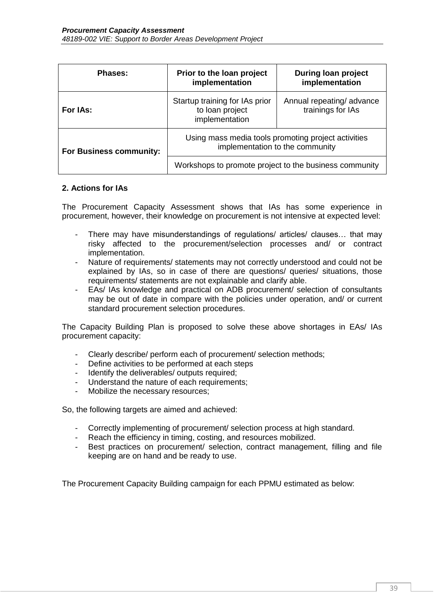| Phases:                 | Prior to the loan project<br>implementation                                            | <b>During loan project</b><br>implementation  |  |  |  |
|-------------------------|----------------------------------------------------------------------------------------|-----------------------------------------------|--|--|--|
| For IAs:                | Startup training for IAs prior<br>to loan project<br>implementation                    | Annual repeating/advance<br>trainings for IAs |  |  |  |
| For Business community: | Using mass media tools promoting project activities<br>implementation to the community |                                               |  |  |  |
|                         | Workshops to promote project to the business community                                 |                                               |  |  |  |

#### **2. Actions for IAs**

The Procurement Capacity Assessment shows that IAs has some experience in procurement, however, their knowledge on procurement is not intensive at expected level:

- There may have misunderstandings of regulations/ articles/ clauses… that may risky affected to the procurement/selection processes and/ or contract implementation.
- Nature of requirements/ statements may not correctly understood and could not be explained by IAs, so in case of there are questions/ queries/ situations, those requirements/ statements are not explainable and clarify able.
- EAs/ IAs knowledge and practical on ADB procurement/ selection of consultants may be out of date in compare with the policies under operation, and/ or current standard procurement selection procedures.

The Capacity Building Plan is proposed to solve these above shortages in EAs/ IAs procurement capacity:

- Clearly describe/ perform each of procurement/ selection methods;
- Define activities to be performed at each steps
- Identify the deliverables/ outputs required;
- Understand the nature of each requirements;
- Mobilize the necessary resources;

So, the following targets are aimed and achieved:

- Correctly implementing of procurement/ selection process at high standard.
- Reach the efficiency in timing, costing, and resources mobilized.
- Best practices on procurement/ selection, contract management, filling and file keeping are on hand and be ready to use.

The Procurement Capacity Building campaign for each PPMU estimated as below: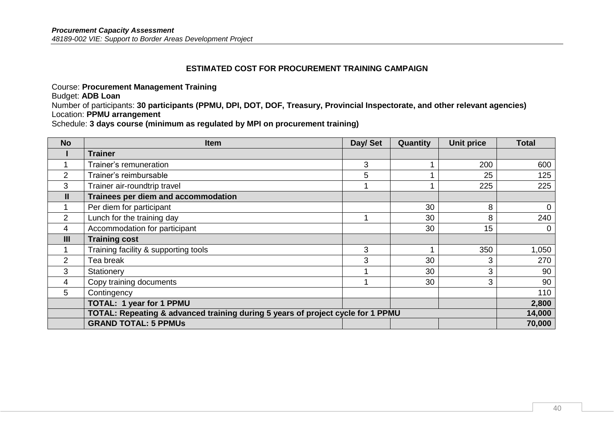#### **ESTIMATED COST FOR PROCUREMENT TRAINING CAMPAIGN**

Course: **Procurement Management Training**

Budget: **ADB Loan** 

Number of participants: **30 participants (PPMU, DPI, DOT, DOF, Treasury, Provincial Inspectorate, and other relevant agencies)** Location: **PPMU arrangement**

Schedule: **3 days course (minimum as regulated by MPI on procurement training)**

| <b>No</b>      | Item                                                                            | Day/ Set | Quantity | <b>Unit price</b> | <b>Total</b> |
|----------------|---------------------------------------------------------------------------------|----------|----------|-------------------|--------------|
|                | <b>Trainer</b>                                                                  |          |          |                   |              |
|                | Trainer's remuneration                                                          | 3        |          | 200               | 600          |
| $\overline{2}$ | Trainer's reimbursable                                                          | 5        |          | 25                | 125          |
| 3              | Trainer air-roundtrip travel                                                    |          |          | 225               | 225          |
| $\mathbf{II}$  | Trainees per diem and accommodation                                             |          |          |                   |              |
|                | Per diem for participant                                                        |          | 30       | 8                 | $\mathbf 0$  |
| $\overline{2}$ | Lunch for the training day                                                      |          | 30       | 8                 | 240          |
| 4              | Accommodation for participant                                                   |          | 30       | 15                | 0            |
| $\mathbf{III}$ | <b>Training cost</b>                                                            |          |          |                   |              |
|                | Training facility & supporting tools                                            | 3        |          | 350               | 1,050        |
| $\overline{2}$ | Tea break                                                                       | 3        | 30       | 3                 | 270          |
| 3              | Stationery                                                                      |          | 30       | 3                 | 90           |
| 4              | Copy training documents                                                         |          | 30       | 3                 | 90           |
| 5              | Contingency                                                                     |          |          |                   | 110          |
|                | <b>TOTAL: 1 year for 1 PPMU</b>                                                 |          |          |                   | 2,800        |
|                | TOTAL: Repeating & advanced training during 5 years of project cycle for 1 PPMU |          |          |                   | 14,000       |
|                | <b>GRAND TOTAL: 5 PPMUs</b>                                                     |          |          |                   | 70,000       |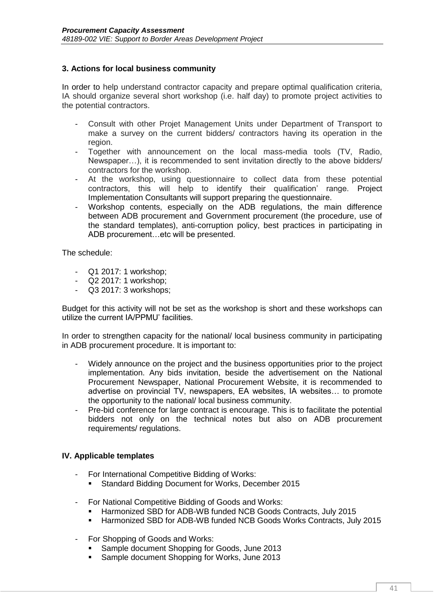## **3. Actions for local business community**

In order to help understand contractor capacity and prepare optimal qualification criteria, IA should organize several short workshop (i.e. half day) to promote project activities to the potential contractors.

- Consult with other Projet Management Units under Department of Transport to make a survey on the current bidders/ contractors having its operation in the region.
- Together with announcement on the local mass-media tools (TV, Radio, Newspaper…), it is recommended to sent invitation directly to the above bidders/ contractors for the workshop.
- At the workshop, using questionnaire to collect data from these potential contractors, this will help to identify their qualification' range. Project Implementation Consultants will support preparing the questionnaire.
- Workshop contents, especially on the ADB regulations, the main difference between ADB procurement and Government procurement (the procedure, use of the standard templates), anti-corruption policy, best practices in participating in ADB procurement…etc will be presented.

The schedule:

- Q1 2017: 1 workshop;
- Q2 2017: 1 workshop;
- Q3 2017: 3 workshops;

Budget for this activity will not be set as the workshop is short and these workshops can utilize the current IA/PPMU' facilities.

In order to strengthen capacity for the national/ local business community in participating in ADB procurement procedure. It is important to:

- Widely announce on the project and the business opportunities prior to the project implementation. Any bids invitation, beside the advertisement on the National Procurement Newspaper, National Procurement Website, it is recommended to advertise on provincial TV, newspapers, EA websites, IA websites… to promote the opportunity to the national/ local business community.
- Pre-bid conference for large contract is encourage. This is to facilitate the potential bidders not only on the technical notes but also on ADB procurement requirements/ regulations.

#### **IV. Applicable templates**

- For International Competitive Bidding of Works:
	- **Standard Bidding Document for Works, December 2015**
- For National Competitive Bidding of Goods and Works:
	- Harmonized SBD for ADB-WB funded NCB Goods Contracts, July 2015
	- Harmonized SBD for ADB-WB funded NCB Goods Works Contracts, July 2015
- For Shopping of Goods and Works:
	- **Sample document Shopping for Goods, June 2013**
	- **Sample document Shopping for Works, June 2013**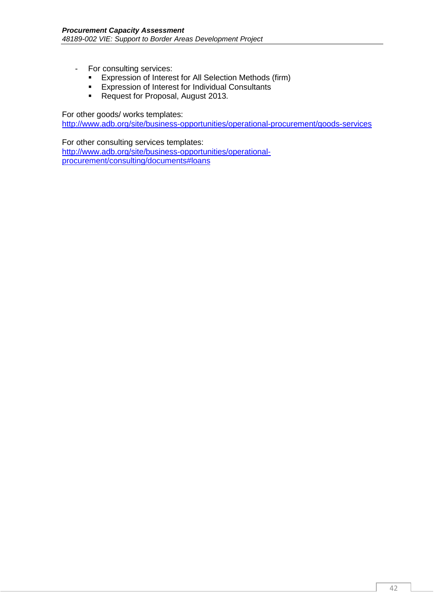- For consulting services:
	- Expression of Interest for All Selection Methods (firm)
	- **Expression of Interest for Individual Consultants**
	- Request for Proposal, August 2013.

For other goods/ works templates:

<http://www.adb.org/site/business-opportunities/operational-procurement/goods-services>

For other consulting services templates: [http://www.adb.org/site/business-opportunities/operational](http://www.adb.org/site/business-opportunities/operational-procurement/consulting/documents#loans)[procurement/consulting/documents#loans](http://www.adb.org/site/business-opportunities/operational-procurement/consulting/documents#loans)